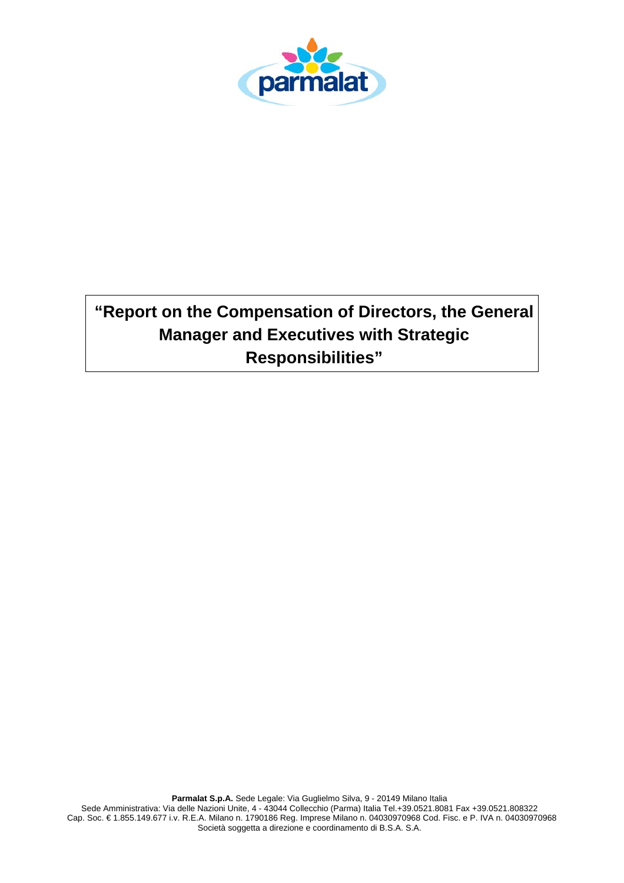

# **"Report on the Compensation of Directors, the General Manager and Executives with Strategic Responsibilities"**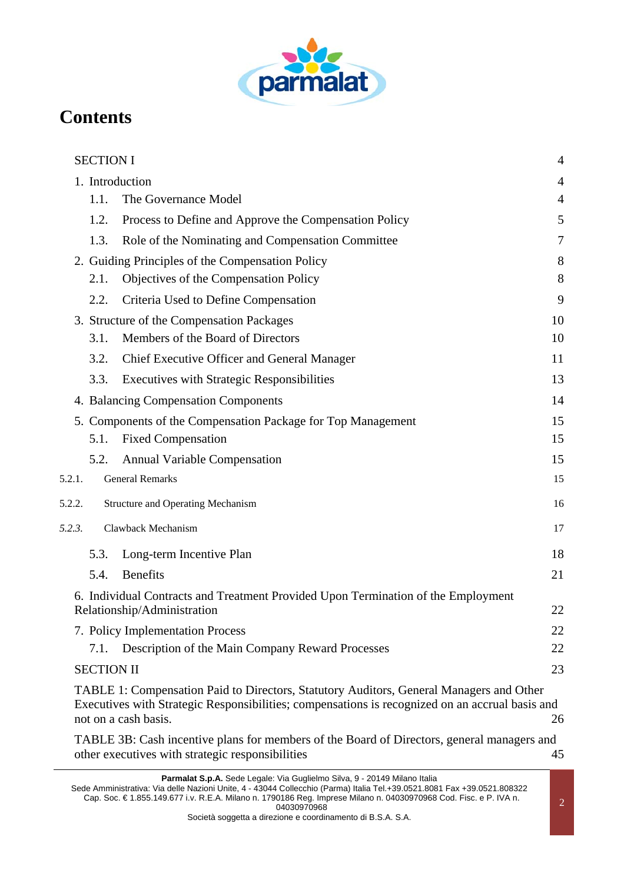

# **Contents**

|        | <b>SECTION I</b>  |                                                                                                                                                                                                                    | $\overline{4}$ |
|--------|-------------------|--------------------------------------------------------------------------------------------------------------------------------------------------------------------------------------------------------------------|----------------|
|        |                   | 1. Introduction                                                                                                                                                                                                    | 4              |
|        | 1.1.              | The Governance Model                                                                                                                                                                                               | 4              |
|        | 1.2.              | Process to Define and Approve the Compensation Policy                                                                                                                                                              | 5              |
|        | 1.3.              | Role of the Nominating and Compensation Committee                                                                                                                                                                  | 7              |
|        |                   | 2. Guiding Principles of the Compensation Policy                                                                                                                                                                   | 8              |
|        | 2.1.              | Objectives of the Compensation Policy                                                                                                                                                                              | 8              |
|        | 2.2.              | Criteria Used to Define Compensation                                                                                                                                                                               | 9              |
|        |                   | 3. Structure of the Compensation Packages                                                                                                                                                                          | 10             |
|        | 3.1.              | Members of the Board of Directors                                                                                                                                                                                  | 10             |
|        | 3.2.              | Chief Executive Officer and General Manager                                                                                                                                                                        | 11             |
|        | 3.3.              | <b>Executives with Strategic Responsibilities</b>                                                                                                                                                                  | 13             |
|        |                   | 4. Balancing Compensation Components                                                                                                                                                                               | 14             |
|        |                   | 5. Components of the Compensation Package for Top Management                                                                                                                                                       | 15             |
|        | 5.1.              | <b>Fixed Compensation</b>                                                                                                                                                                                          | 15             |
|        | 5.2.              | <b>Annual Variable Compensation</b>                                                                                                                                                                                | 15             |
| 5.2.1. |                   | <b>General Remarks</b>                                                                                                                                                                                             | 15             |
| 5.2.2. |                   | Structure and Operating Mechanism                                                                                                                                                                                  | 16             |
| 5.2.3. |                   | Clawback Mechanism                                                                                                                                                                                                 | 17             |
|        | 5.3.              | Long-term Incentive Plan                                                                                                                                                                                           | 18             |
|        | 5.4.              | <b>Benefits</b>                                                                                                                                                                                                    | 21             |
|        |                   | 6. Individual Contracts and Treatment Provided Upon Termination of the Employment                                                                                                                                  |                |
|        |                   | Relationship/Administration                                                                                                                                                                                        | 22             |
|        |                   | 7. Policy Implementation Process                                                                                                                                                                                   | 22             |
|        | 7.1.              | Description of the Main Company Reward Processes                                                                                                                                                                   | 22             |
|        | <b>SECTION II</b> |                                                                                                                                                                                                                    | 23             |
|        |                   | TABLE 1: Compensation Paid to Directors, Statutory Auditors, General Managers and Other<br>Executives with Strategic Responsibilities; compensations is recognized on an accrual basis and<br>not on a cash basis. | 26             |
|        |                   | TABLE 3B: Cash incentive plans for members of the Board of Directors, general managers and<br>other executives with strategic responsibilities                                                                     | 45             |

**Parmalat S.p.A.** Sede Legale: Via Guglielmo Silva, 9 - 20149 Milano Italia

Sede Amministrativa: Via delle Nazioni Unite, 4 - 43044 Collecchio (Parma) Italia Tel.+39.0521.8081 Fax +39.0521.808322 Cap. Soc. € 1.855.149.677 i.v. R.E.A. Milano n. 1790186 Reg. Imprese Milano n. 04030970968 Cod. Fisc. e P. IVA n. 04030970968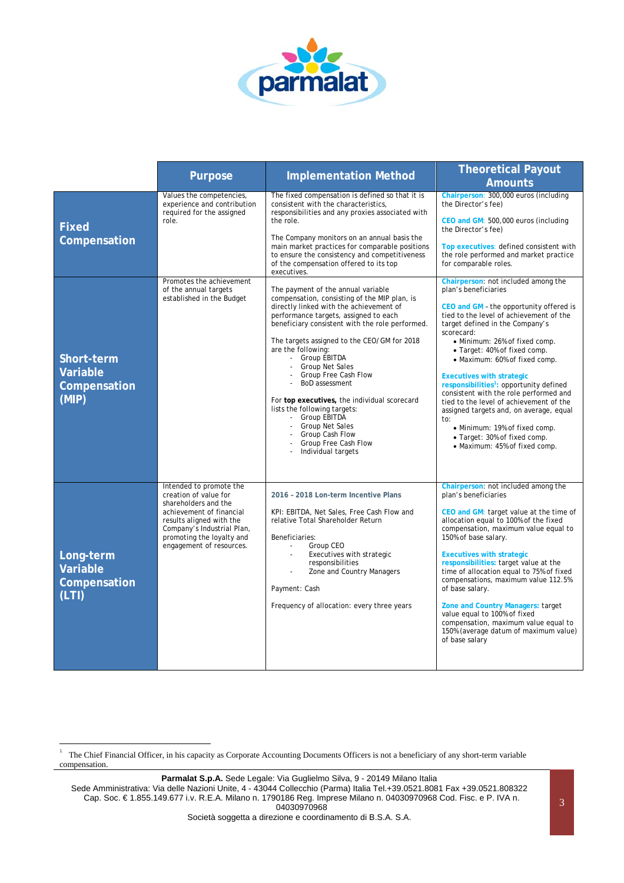

|                                                 | <b>Purpose</b>                                                                                                                                                                                                          | <b>Implementation Method</b>                                                                                                                                                                                                                                                                                                                                                                                                                                                                                                                                                      | <b>Theoretical Payout</b><br><b>Amounts</b>                                                                                                                                                                                                                                                                                                                                                                                                                                                                                                                                                                                              |
|-------------------------------------------------|-------------------------------------------------------------------------------------------------------------------------------------------------------------------------------------------------------------------------|-----------------------------------------------------------------------------------------------------------------------------------------------------------------------------------------------------------------------------------------------------------------------------------------------------------------------------------------------------------------------------------------------------------------------------------------------------------------------------------------------------------------------------------------------------------------------------------|------------------------------------------------------------------------------------------------------------------------------------------------------------------------------------------------------------------------------------------------------------------------------------------------------------------------------------------------------------------------------------------------------------------------------------------------------------------------------------------------------------------------------------------------------------------------------------------------------------------------------------------|
| <b>Fixed</b><br>Compensation                    | Values the competencies,<br>experience and contribution<br>required for the assigned<br>role.                                                                                                                           | The fixed compensation is defined so that it is<br>consistent with the characteristics,<br>responsibilities and any proxies associated with<br>the role.<br>The Company monitors on an annual basis the<br>main market practices for comparable positions<br>to ensure the consistency and competitiveness<br>of the compensation offered to its top<br>executives.                                                                                                                                                                                                               | Chairperson: 300,000 euros (including<br>the Director's fee)<br>CEO and GM: 500,000 euros (including<br>the Director's fee)<br>Top executives: defined consistent with<br>the role performed and market practice<br>for comparable roles.                                                                                                                                                                                                                                                                                                                                                                                                |
| Short-term<br>Variable<br>Compensation<br>(MIP) | Promotes the achievement<br>of the annual targets<br>established in the Budget                                                                                                                                          | The payment of the annual variable<br>compensation, consisting of the MIP plan, is<br>directly linked with the achievement of<br>performance targets, assigned to each<br>beneficiary consistent with the role performed.<br>The targets assigned to the CEO/GM for 2018<br>are the following:<br>- Group EBITDA<br><b>Group Net Sales</b><br>Group Free Cash Flow<br>BoD assessment<br>For top executives, the individual scorecard<br>lists the following targets:<br>- Group EBITDA<br><b>Group Net Sales</b><br>Group Cash Flow<br>Group Free Cash Flow<br>Individual targets | Chairperson: not included among the<br>plan's beneficiaries<br>CEO and GM - the opportunity offered is<br>tied to the level of achievement of the<br>target defined in the Company's<br>scorecard:<br>• Minimum: 26% of fixed comp.<br>• Target: 40% of fixed comp.<br>• Maximum: 60% of fixed comp.<br><b>Executives with strategic</b><br>responsibilities <sup>1</sup> : opportunity defined<br>consistent with the role performed and<br>tied to the level of achievement of the<br>assigned targets and, on average, equal<br>to:<br>• Minimum: 19% of fixed comp.<br>• Target: 30% of fixed comp.<br>• Maximum: 45% of fixed comp. |
| Long-term<br>Variable<br>Compensation<br>(LTI)  | Intended to promote the<br>creation of value for<br>shareholders and the<br>achievement of financial<br>results aligned with the<br>Company's Industrial Plan,<br>promoting the loyalty and<br>engagement of resources. | 2016 - 2018 Lon-term Incentive Plans<br>KPI: EBITDA, Net Sales, Free Cash Flow and<br>relative Total Shareholder Return<br>Beneficiaries:<br>Group CEO<br>$\blacksquare$<br>Executives with strategic<br>responsibilities<br>Zone and Country Managers<br>Payment: Cash<br>Frequency of allocation: every three years                                                                                                                                                                                                                                                             | Chairperson: not included among the<br>plan's beneficiaries<br>CEO and GM: target value at the time of<br>allocation equal to 100% of the fixed<br>compensation, maximum value equal to<br>150% of base salary.<br><b>Executives with strategic</b><br>responsibilities: target value at the<br>time of allocation equal to 75% of fixed<br>compensations, maximum value 112.5%<br>of base salary.<br>Zone and Country Managers: target<br>value equal to 100% of fixed<br>compensation, maximum value equal to<br>150% (average datum of maximum value)<br>of base salary                                                               |

 <sup>1</sup> The Chief Financial Officer, in his capacity as Corporate Accounting Documents Officers is not a beneficiary of any short-term variable compensation.

Parmalat S.p.A. Sede Legale: Via Guglielmo Silva, 9 - 20149 Milano Italia

Sede Amministrativa: Via delle Nazioni Unite, 4 - 43044 Collecchio (Parma) Italia Tel.+39.0521.8081 Fax +39.0521.808322 Cap. Soc. € 1.855.149.677 i.v. R.E.A. Milano n. 1790186 Reg. Imprese Milano n. 04030970968 Cod. Fisc. e P. IVA n. 04030970968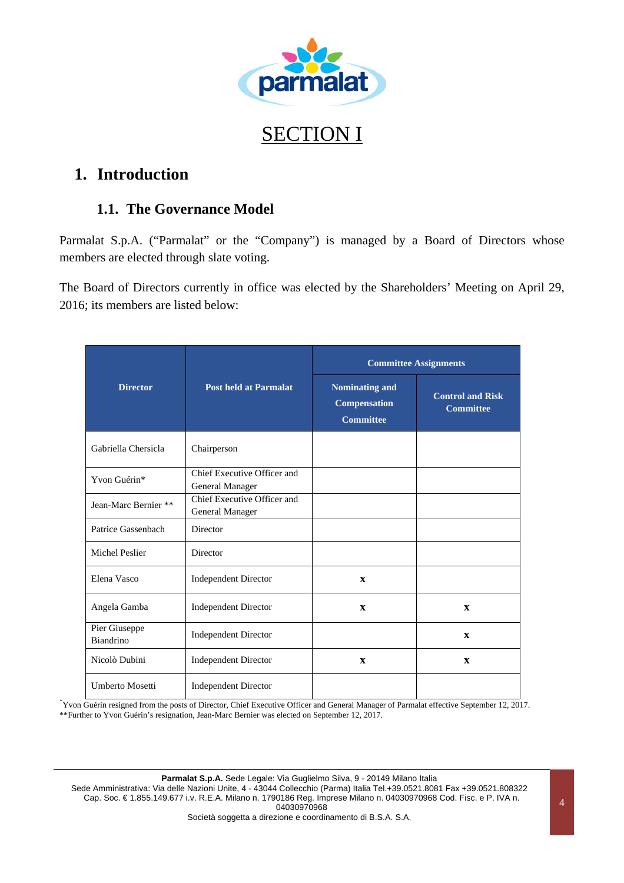

# SECTION I

# **1. Introduction**

### **1.1. The Governance Model**

Parmalat S.p.A. ("Parmalat" or the "Company") is managed by a Board of Directors whose members are elected through slate voting.

The Board of Directors currently in office was elected by the Shareholders' Meeting on April 29, 2016; its members are listed below:

|                            |                                                | <b>Committee Assignments</b>                                     |                                             |
|----------------------------|------------------------------------------------|------------------------------------------------------------------|---------------------------------------------|
| <b>Director</b>            | <b>Post held at Parmalat</b>                   | <b>Nominating and</b><br><b>Compensation</b><br><b>Committee</b> | <b>Control and Risk</b><br><b>Committee</b> |
| Gabriella Chersicla        | Chairperson                                    |                                                                  |                                             |
| Yvon Guérin*               | Chief Executive Officer and<br>General Manager |                                                                  |                                             |
| Jean-Marc Bernier **       | Chief Executive Officer and<br>General Manager |                                                                  |                                             |
| Patrice Gassenbach         | Director                                       |                                                                  |                                             |
| Michel Peslier             | Director                                       |                                                                  |                                             |
| Elena Vasco                | <b>Independent Director</b>                    | $\mathbf{x}$                                                     |                                             |
| Angela Gamba               | <b>Independent Director</b>                    | $\mathbf{x}$                                                     | $\mathbf{x}$                                |
| Pier Giuseppe<br>Biandrino | <b>Independent Director</b>                    |                                                                  | $\mathbf{x}$                                |
| Nicolò Dubini              | <b>Independent Director</b>                    | $\mathbf{x}$                                                     | $\mathbf{x}$                                |
| <b>Umberto Mosetti</b>     | <b>Independent Director</b>                    |                                                                  |                                             |

\* Yvon Guérin resigned from the posts of Director, Chief Executive Officer and General Manager of Parmalat effective September 12, 2017. \*\*Further to Yvon Guérin's resignation, Jean-Marc Bernier was elected on September 12, 2017.

Parmalat S.p.A. Sede Legale: Via Guglielmo Silva, 9 - 20149 Milano Italia

Sede Amministrativa: Via delle Nazioni Unite, 4 - 43044 Collecchio (Parma) Italia Tel.+39.0521.8081 Fax +39.0521.808322 Cap. Soc. € 1.855.149.677 i.v. R.E.A. Milano n. 1790186 Reg. Imprese Milano n. 04030970968 Cod. Fisc. e P. IVA n. 04030970968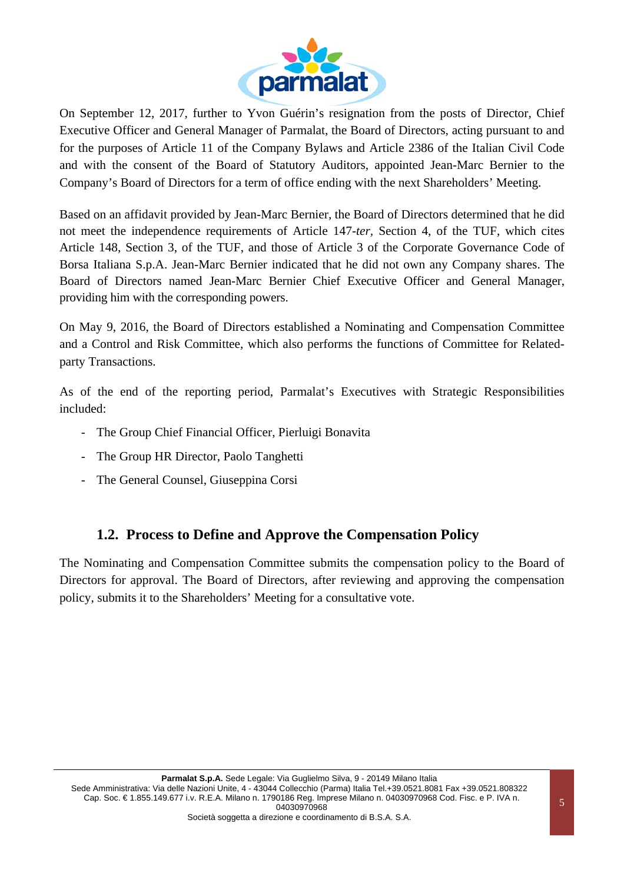

On September 12, 2017, further to Yvon Guérin's resignation from the posts of Director, Chief Executive Officer and General Manager of Parmalat, the Board of Directors, acting pursuant to and for the purposes of Article 11 of the Company Bylaws and Article 2386 of the Italian Civil Code and with the consent of the Board of Statutory Auditors, appointed Jean-Marc Bernier to the Company's Board of Directors for a term of office ending with the next Shareholders' Meeting.

Based on an affidavit provided by Jean-Marc Bernier, the Board of Directors determined that he did not meet the independence requirements of Article 147-*ter,* Section 4, of the TUF, which cites Article 148, Section 3, of the TUF, and those of Article 3 of the Corporate Governance Code of Borsa Italiana S.p.A. Jean-Marc Bernier indicated that he did not own any Company shares. The Board of Directors named Jean-Marc Bernier Chief Executive Officer and General Manager, providing him with the corresponding powers.

On May 9, 2016, the Board of Directors established a Nominating and Compensation Committee and a Control and Risk Committee, which also performs the functions of Committee for Relatedparty Transactions.

As of the end of the reporting period, Parmalat's Executives with Strategic Responsibilities included:

- The Group Chief Financial Officer, Pierluigi Bonavita
- The Group HR Director, Paolo Tanghetti
- The General Counsel, Giuseppina Corsi

#### **1.2. Process to Define and Approve the Compensation Policy**

The Nominating and Compensation Committee submits the compensation policy to the Board of Directors for approval. The Board of Directors, after reviewing and approving the compensation policy, submits it to the Shareholders' Meeting for a consultative vote.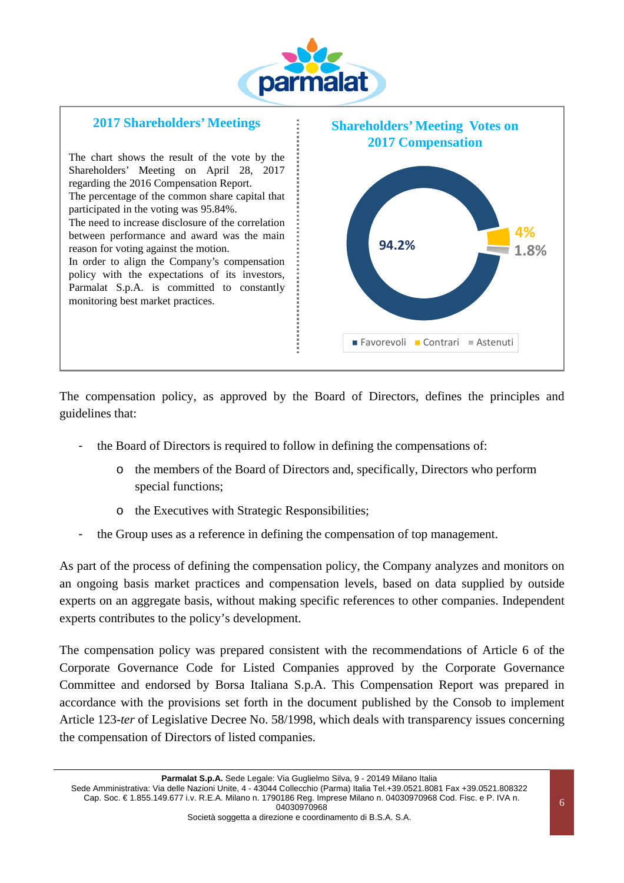



The compensation policy, as approved by the Board of Directors, defines the principles and guidelines that:

- the Board of Directors is required to follow in defining the compensations of:
	- o the members of the Board of Directors and, specifically, Directors who perform special functions;
	- o the Executives with Strategic Responsibilities;
- the Group uses as a reference in defining the compensation of top management.

As part of the process of defining the compensation policy, the Company analyzes and monitors on an ongoing basis market practices and compensation levels, based on data supplied by outside experts on an aggregate basis, without making specific references to other companies. Independent experts contributes to the policy's development.

The compensation policy was prepared consistent with the recommendations of Article 6 of the Corporate Governance Code for Listed Companies approved by the Corporate Governance Committee and endorsed by Borsa Italiana S.p.A. This Compensation Report was prepared in accordance with the provisions set forth in the document published by the Consob to implement Article 123-*ter* of Legislative Decree No. 58/1998, which deals with transparency issues concerning the compensation of Directors of listed companies.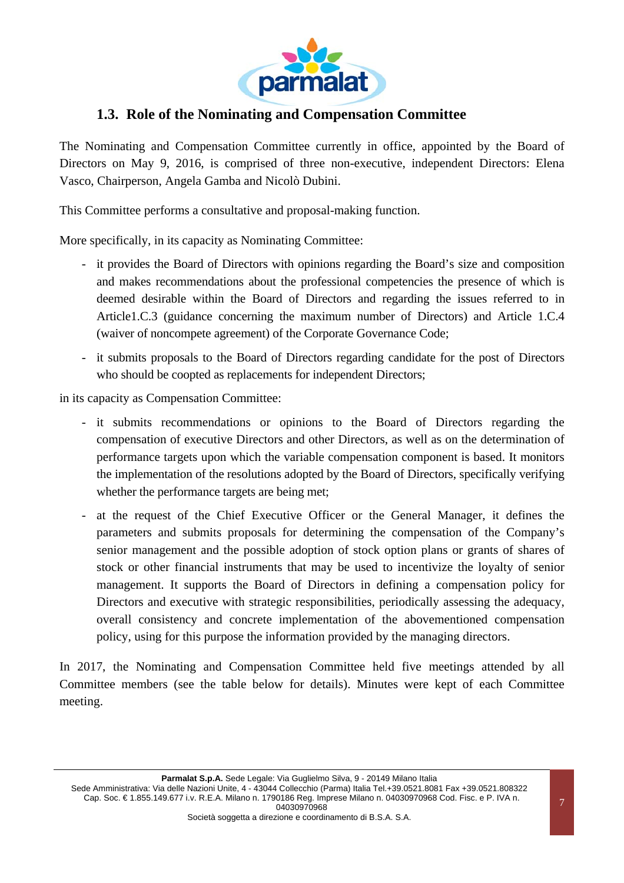

### **1.3. Role of the Nominating and Compensation Committee**

The Nominating and Compensation Committee currently in office, appointed by the Board of Directors on May 9, 2016, is comprised of three non-executive, independent Directors: Elena Vasco, Chairperson, Angela Gamba and Nicolò Dubini.

This Committee performs a consultative and proposal-making function.

More specifically, in its capacity as Nominating Committee:

- it provides the Board of Directors with opinions regarding the Board's size and composition and makes recommendations about the professional competencies the presence of which is deemed desirable within the Board of Directors and regarding the issues referred to in Article1.C.3 (guidance concerning the maximum number of Directors) and Article 1.C.4 (waiver of noncompete agreement) of the Corporate Governance Code;
- it submits proposals to the Board of Directors regarding candidate for the post of Directors who should be coopted as replacements for independent Directors;

in its capacity as Compensation Committee:

- it submits recommendations or opinions to the Board of Directors regarding the compensation of executive Directors and other Directors, as well as on the determination of performance targets upon which the variable compensation component is based. It monitors the implementation of the resolutions adopted by the Board of Directors, specifically verifying whether the performance targets are being met;
- at the request of the Chief Executive Officer or the General Manager, it defines the parameters and submits proposals for determining the compensation of the Company's senior management and the possible adoption of stock option plans or grants of shares of stock or other financial instruments that may be used to incentivize the loyalty of senior management. It supports the Board of Directors in defining a compensation policy for Directors and executive with strategic responsibilities, periodically assessing the adequacy, overall consistency and concrete implementation of the abovementioned compensation policy, using for this purpose the information provided by the managing directors.

In 2017, the Nominating and Compensation Committee held five meetings attended by all Committee members (see the table below for details). Minutes were kept of each Committee meeting.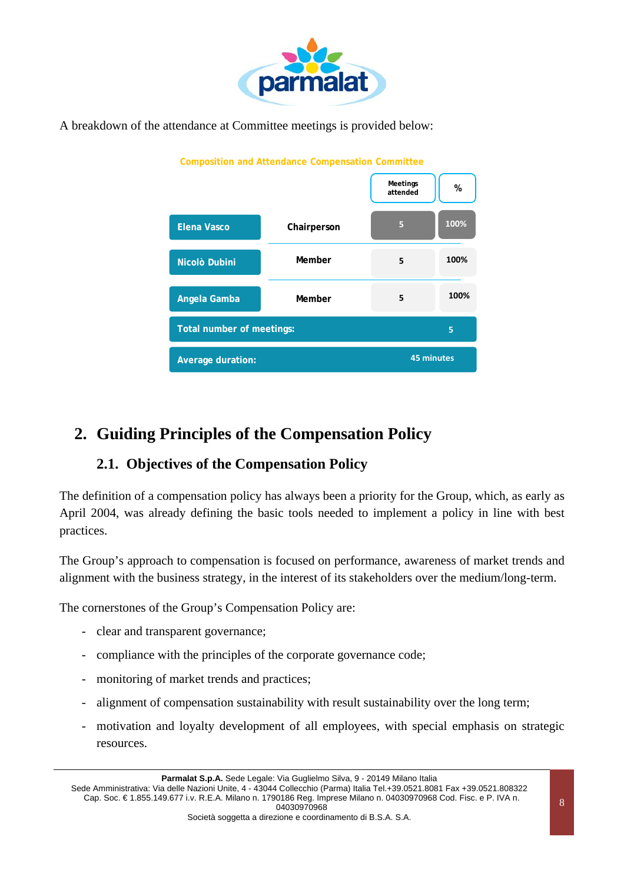

A breakdown of the attendance at Committee meetings is provided below:



# **2. Guiding Principles of the Compensation Policy**

# **2.1. Objectives of the Compensation Policy**

The definition of a compensation policy has always been a priority for the Group, which, as early as April 2004, was already defining the basic tools needed to implement a policy in line with best practices.

The Group's approach to compensation is focused on performance, awareness of market trends and alignment with the business strategy, in the interest of its stakeholders over the medium/long-term.

The cornerstones of the Group's Compensation Policy are:

- clear and transparent governance;
- compliance with the principles of the corporate governance code;
- monitoring of market trends and practices;
- alignment of compensation sustainability with result sustainability over the long term;
- motivation and loyalty development of all employees, with special emphasis on strategic resources.

Sede Amministrativa: Via delle Nazioni Unite, 4 - 43044 Collecchio (Parma) Italia Tel.+39.0521.8081 Fax +39.0521.808322 Cap. Soc. € 1.855.149.677 i.v. R.E.A. Milano n. 1790186 Reg. Imprese Milano n. 04030970968 Cod. Fisc. e P. IVA n. 04030970968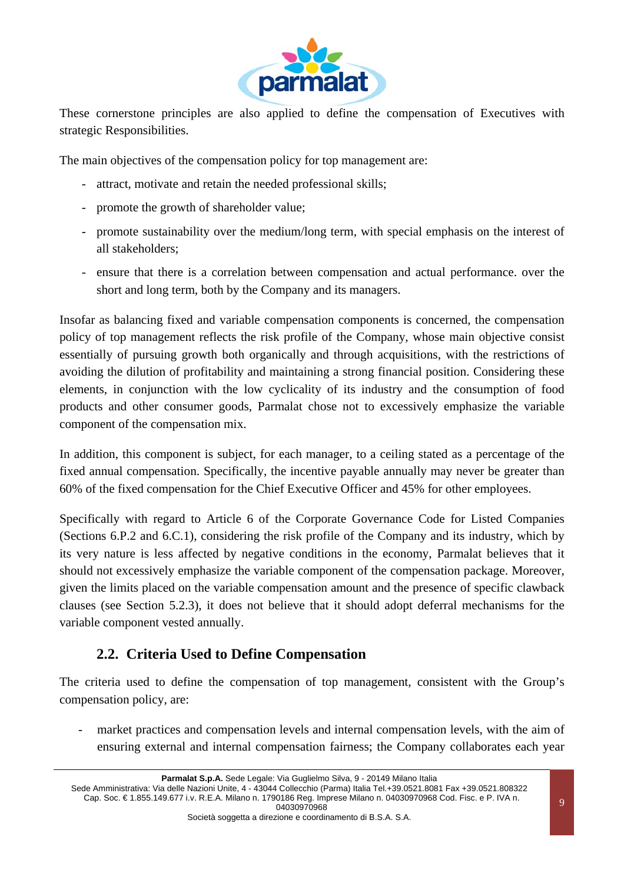

These cornerstone principles are also applied to define the compensation of Executives with strategic Responsibilities.

The main objectives of the compensation policy for top management are:

- attract, motivate and retain the needed professional skills;
- promote the growth of shareholder value;
- promote sustainability over the medium/long term, with special emphasis on the interest of all stakeholders;
- ensure that there is a correlation between compensation and actual performance. over the short and long term, both by the Company and its managers.

Insofar as balancing fixed and variable compensation components is concerned, the compensation policy of top management reflects the risk profile of the Company, whose main objective consist essentially of pursuing growth both organically and through acquisitions, with the restrictions of avoiding the dilution of profitability and maintaining a strong financial position. Considering these elements, in conjunction with the low cyclicality of its industry and the consumption of food products and other consumer goods, Parmalat chose not to excessively emphasize the variable component of the compensation mix.

In addition, this component is subject, for each manager, to a ceiling stated as a percentage of the fixed annual compensation. Specifically, the incentive payable annually may never be greater than 60% of the fixed compensation for the Chief Executive Officer and 45% for other employees.

Specifically with regard to Article 6 of the Corporate Governance Code for Listed Companies (Sections 6.P.2 and 6.C.1), considering the risk profile of the Company and its industry, which by its very nature is less affected by negative conditions in the economy, Parmalat believes that it should not excessively emphasize the variable component of the compensation package. Moreover, given the limits placed on the variable compensation amount and the presence of specific clawback clauses (see Section 5.2.3), it does not believe that it should adopt deferral mechanisms for the variable component vested annually.

### **2.2. Criteria Used to Define Compensation**

The criteria used to define the compensation of top management, consistent with the Group's compensation policy, are:

market practices and compensation levels and internal compensation levels, with the aim of ensuring external and internal compensation fairness; the Company collaborates each year

Sede Amministrativa: Via delle Nazioni Unite, 4 - 43044 Collecchio (Parma) Italia Tel.+39.0521.8081 Fax +39.0521.808322 Cap. Soc. € 1.855.149.677 i.v. R.E.A. Milano n. 1790186 Reg. Imprese Milano n. 04030970968 Cod. Fisc. e P. IVA n. 04030970968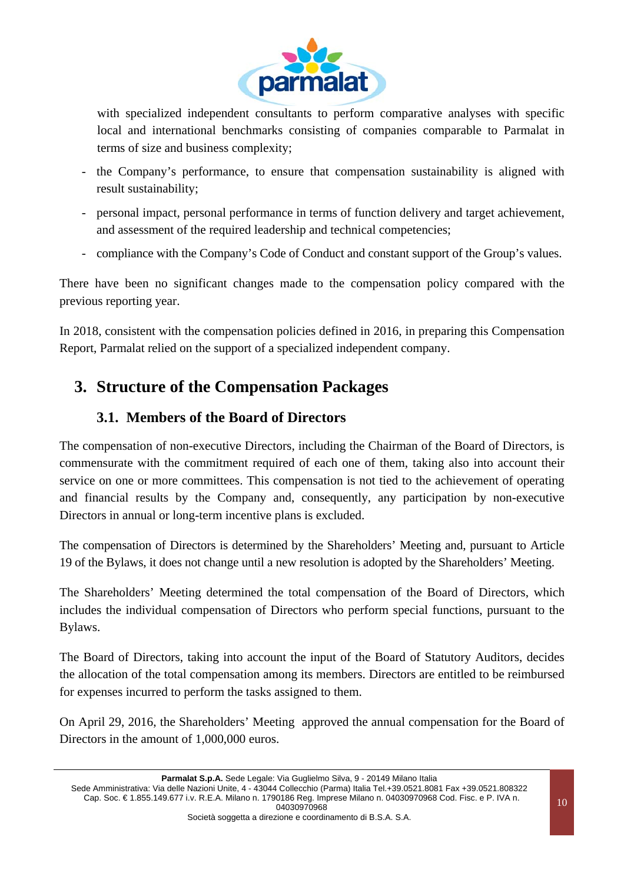

with specialized independent consultants to perform comparative analyses with specific local and international benchmarks consisting of companies comparable to Parmalat in terms of size and business complexity;

- the Company's performance, to ensure that compensation sustainability is aligned with result sustainability;
- personal impact, personal performance in terms of function delivery and target achievement, and assessment of the required leadership and technical competencies;
- compliance with the Company's Code of Conduct and constant support of the Group's values.

There have been no significant changes made to the compensation policy compared with the previous reporting year.

In 2018, consistent with the compensation policies defined in 2016, in preparing this Compensation Report, Parmalat relied on the support of a specialized independent company.

# **3. Structure of the Compensation Packages**

## **3.1. Members of the Board of Directors**

The compensation of non-executive Directors, including the Chairman of the Board of Directors, is commensurate with the commitment required of each one of them, taking also into account their service on one or more committees. This compensation is not tied to the achievement of operating and financial results by the Company and, consequently, any participation by non-executive Directors in annual or long-term incentive plans is excluded.

The compensation of Directors is determined by the Shareholders' Meeting and, pursuant to Article 19 of the Bylaws, it does not change until a new resolution is adopted by the Shareholders' Meeting.

The Shareholders' Meeting determined the total compensation of the Board of Directors, which includes the individual compensation of Directors who perform special functions, pursuant to the Bylaws.

The Board of Directors, taking into account the input of the Board of Statutory Auditors, decides the allocation of the total compensation among its members. Directors are entitled to be reimbursed for expenses incurred to perform the tasks assigned to them.

On April 29, 2016, the Shareholders' Meeting approved the annual compensation for the Board of Directors in the amount of 1,000,000 euros.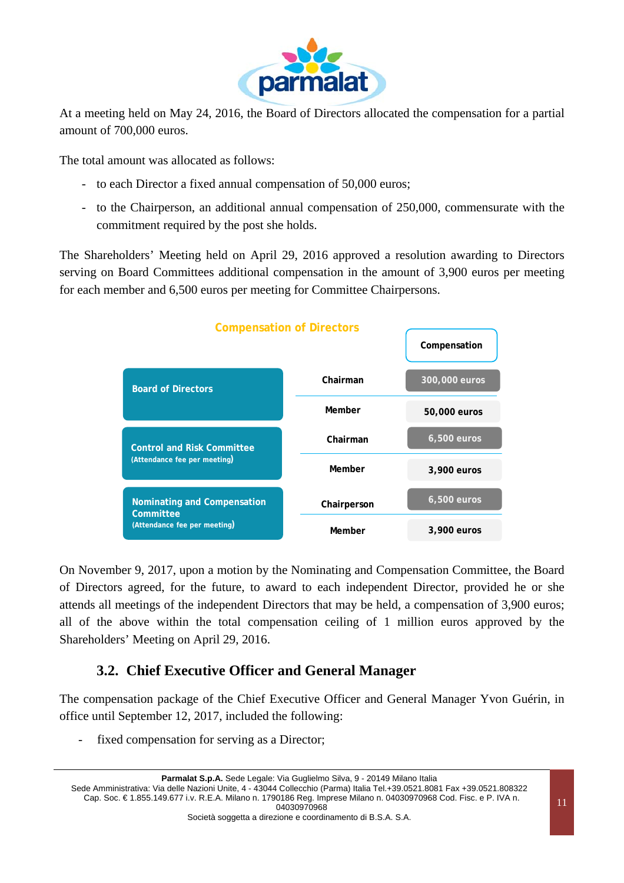

At a meeting held on May 24, 2016, the Board of Directors allocated the compensation for a partial amount of 700,000 euros.

The total amount was allocated as follows:

- to each Director a fixed annual compensation of 50,000 euros;
- to the Chairperson, an additional annual compensation of 250,000, commensurate with the commitment required by the post she holds.

The Shareholders' Meeting held on April 29, 2016 approved a resolution awarding to Directors serving on Board Committees additional compensation in the amount of 3,900 euros per meeting for each member and 6,500 euros per meeting for Committee Chairpersons.



On November 9, 2017, upon a motion by the Nominating and Compensation Committee, the Board of Directors agreed, for the future, to award to each independent Director, provided he or she attends all meetings of the independent Directors that may be held, a compensation of 3,900 euros; all of the above within the total compensation ceiling of 1 million euros approved by the Shareholders' Meeting on April 29, 2016.

# **3.2. Chief Executive Officer and General Manager**

The compensation package of the Chief Executive Officer and General Manager Yvon Guérin, in office until September 12, 2017, included the following:

fixed compensation for serving as a Director;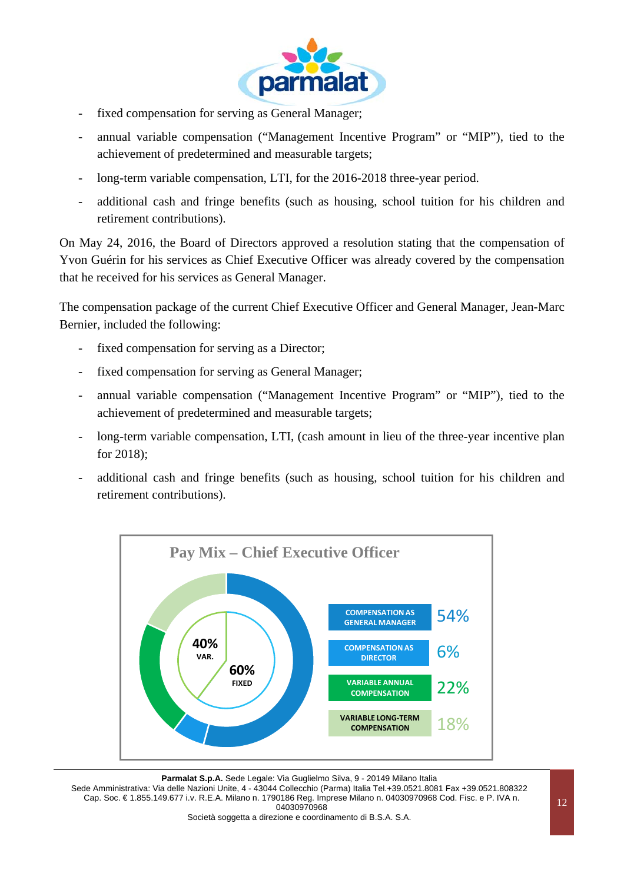

- fixed compensation for serving as General Manager;
- annual variable compensation ("Management Incentive Program" or "MIP"), tied to the achievement of predetermined and measurable targets;
- long-term variable compensation, LTI, for the 2016-2018 three-year period.
- additional cash and fringe benefits (such as housing, school tuition for his children and retirement contributions).

On May 24, 2016, the Board of Directors approved a resolution stating that the compensation of Yvon Guérin for his services as Chief Executive Officer was already covered by the compensation that he received for his services as General Manager.

The compensation package of the current Chief Executive Officer and General Manager, Jean-Marc Bernier, included the following:

- fixed compensation for serving as a Director;
- fixed compensation for serving as General Manager;
- annual variable compensation ("Management Incentive Program" or "MIP"), tied to the achievement of predetermined and measurable targets;
- long-term variable compensation, LTI, (cash amount in lieu of the three-year incentive plan for 2018);
- additional cash and fringe benefits (such as housing, school tuition for his children and retirement contributions).



Parmalat S.p.A. Sede Legale: Via Guglielmo Silva, 9 - 20149 Milano Italia Sede Amministrativa: Via delle Nazioni Unite, 4 - 43044 Collecchio (Parma) Italia Tel.+39.0521.8081 Fax +39.0521.808322 Cap. Soc. € 1.855.149.677 i.v. R.E.A. Milano n. 1790186 Reg. Imprese Milano n. 04030970968 Cod. Fisc. e P. IVA n. 04030970968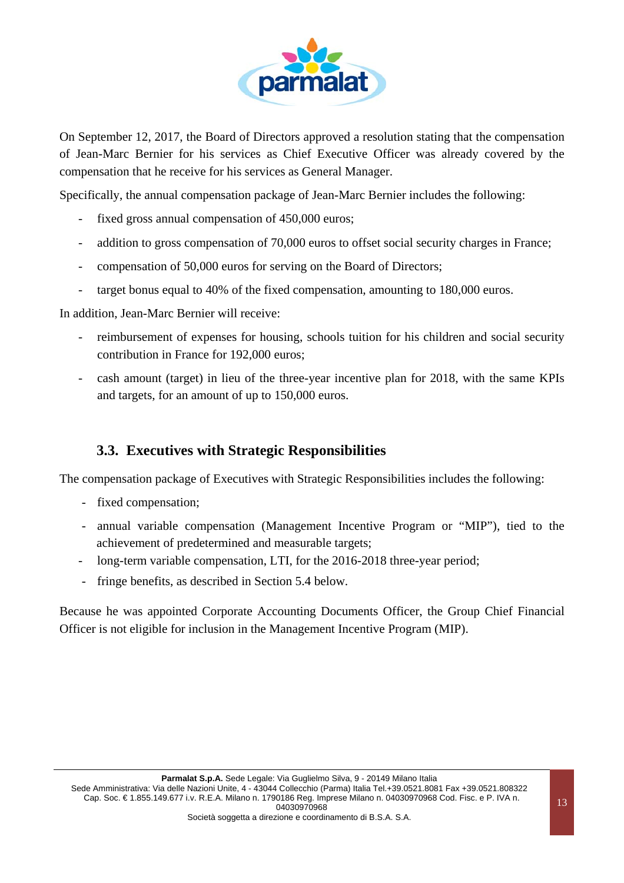

On September 12, 2017, the Board of Directors approved a resolution stating that the compensation of Jean-Marc Bernier for his services as Chief Executive Officer was already covered by the compensation that he receive for his services as General Manager.

Specifically, the annual compensation package of Jean-Marc Bernier includes the following:

- fixed gross annual compensation of 450,000 euros;
- addition to gross compensation of 70,000 euros to offset social security charges in France;
- compensation of 50,000 euros for serving on the Board of Directors;
- target bonus equal to 40% of the fixed compensation, amounting to 180,000 euros.

In addition, Jean-Marc Bernier will receive:

- reimbursement of expenses for housing, schools tuition for his children and social security contribution in France for 192,000 euros;
- cash amount (target) in lieu of the three-year incentive plan for 2018, with the same KPIs and targets, for an amount of up to 150,000 euros.

#### **3.3. Executives with Strategic Responsibilities**

The compensation package of Executives with Strategic Responsibilities includes the following:

- fixed compensation;
- annual variable compensation (Management Incentive Program or "MIP"), tied to the achievement of predetermined and measurable targets;
- long-term variable compensation, LTI, for the 2016-2018 three-year period;
- fringe benefits, as described in Section 5.4 below.

Because he was appointed Corporate Accounting Documents Officer, the Group Chief Financial Officer is not eligible for inclusion in the Management Incentive Program (MIP).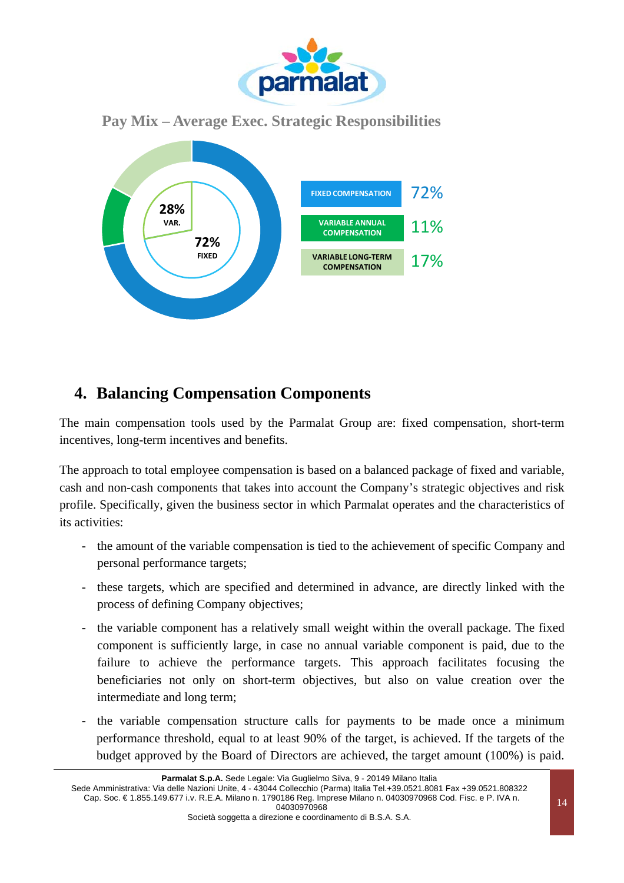

### **Pay Mix – Average Exec. Strategic Responsibilities**



# **4. Balancing Compensation Components**

The main compensation tools used by the Parmalat Group are: fixed compensation, short-term incentives, long-term incentives and benefits.

The approach to total employee compensation is based on a balanced package of fixed and variable, cash and non-cash components that takes into account the Company's strategic objectives and risk profile. Specifically, given the business sector in which Parmalat operates and the characteristics of its activities:

- the amount of the variable compensation is tied to the achievement of specific Company and personal performance targets;
- these targets, which are specified and determined in advance, are directly linked with the process of defining Company objectives;
- the variable component has a relatively small weight within the overall package. The fixed component is sufficiently large, in case no annual variable component is paid, due to the failure to achieve the performance targets. This approach facilitates focusing the beneficiaries not only on short-term objectives, but also on value creation over the intermediate and long term;
- the variable compensation structure calls for payments to be made once a minimum performance threshold, equal to at least 90% of the target, is achieved. If the targets of the budget approved by the Board of Directors are achieved, the target amount (100%) is paid.

Parmalat S.p.A. Sede Legale: Via Guglielmo Silva, 9 - 20149 Milano Italia

Sede Amministrativa: Via delle Nazioni Unite, 4 - 43044 Collecchio (Parma) Italia Tel.+39.0521.8081 Fax +39.0521.808322 Cap. Soc. € 1.855.149.677 i.v. R.E.A. Milano n. 1790186 Reg. Imprese Milano n. 04030970968 Cod. Fisc. e P. IVA n. 04030970968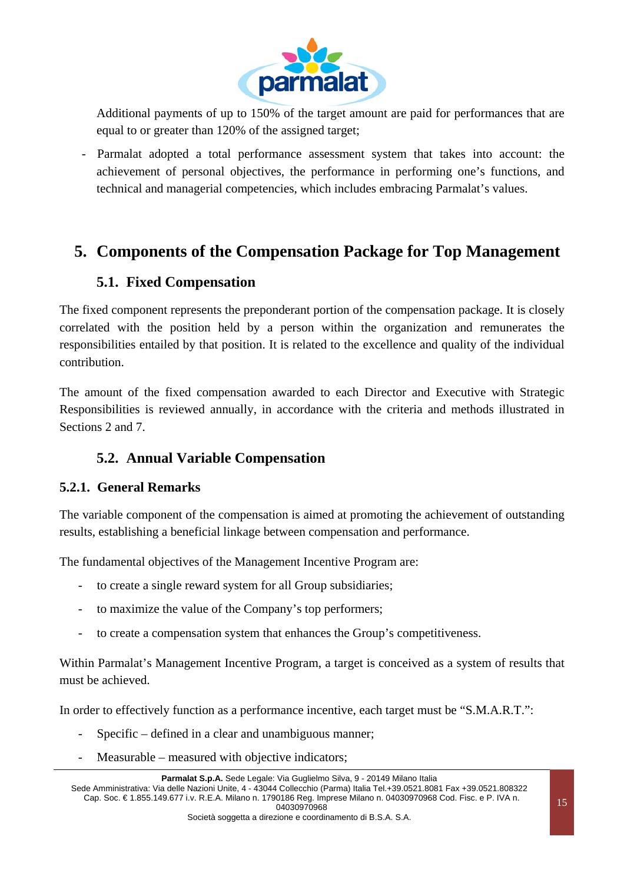

Additional payments of up to 150% of the target amount are paid for performances that are equal to or greater than 120% of the assigned target;

- Parmalat adopted a total performance assessment system that takes into account: the achievement of personal objectives, the performance in performing one's functions, and technical and managerial competencies, which includes embracing Parmalat's values.

# **5. Components of the Compensation Package for Top Management**

## **5.1. Fixed Compensation**

The fixed component represents the preponderant portion of the compensation package. It is closely correlated with the position held by a person within the organization and remunerates the responsibilities entailed by that position. It is related to the excellence and quality of the individual contribution.

The amount of the fixed compensation awarded to each Director and Executive with Strategic Responsibilities is reviewed annually, in accordance with the criteria and methods illustrated in Sections 2 and 7.

# **5.2. Annual Variable Compensation**

#### **5.2.1. General Remarks**

The variable component of the compensation is aimed at promoting the achievement of outstanding results, establishing a beneficial linkage between compensation and performance.

The fundamental objectives of the Management Incentive Program are:

- to create a single reward system for all Group subsidiaries;
- to maximize the value of the Company's top performers;
- to create a compensation system that enhances the Group's competitiveness.

Within Parmalat's Management Incentive Program, a target is conceived as a system of results that must be achieved.

In order to effectively function as a performance incentive, each target must be "S.M.A.R.T.":

- Specific defined in a clear and unambiguous manner;
- Measurable measured with objective indicators;

**Parmalat S.p.A.** Sede Legale: Via Guglielmo Silva, 9 - 20149 Milano Italia

Sede Amministrativa: Via delle Nazioni Unite, 4 - 43044 Collecchio (Parma) Italia Tel.+39.0521.8081 Fax +39.0521.808322 Cap. Soc. € 1.855.149.677 i.v. R.E.A. Milano n. 1790186 Reg. Imprese Milano n. 04030970968 Cod. Fisc. e P. IVA n. 04030970968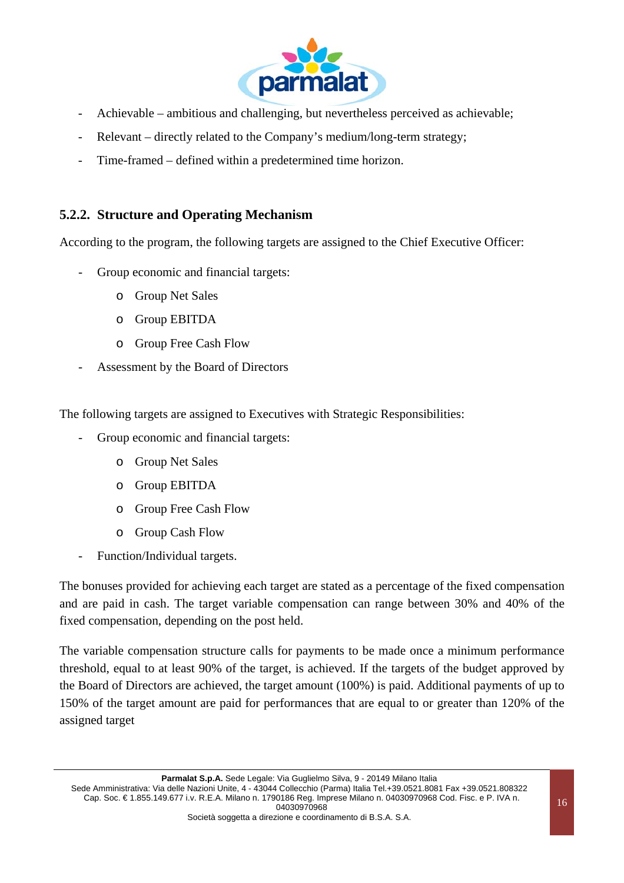

- Achievable ambitious and challenging, but nevertheless perceived as achievable;
- Relevant directly related to the Company's medium/long-term strategy;
- Time-framed defined within a predetermined time horizon.

#### **5.2.2. Structure and Operating Mechanism**

According to the program, the following targets are assigned to the Chief Executive Officer:

- Group economic and financial targets:
	- o Group Net Sales
	- o Group EBITDA
	- o Group Free Cash Flow
- Assessment by the Board of Directors

The following targets are assigned to Executives with Strategic Responsibilities:

- Group economic and financial targets:
	- o Group Net Sales
	- o Group EBITDA
	- o Group Free Cash Flow
	- o Group Cash Flow
- Function/Individual targets.

The bonuses provided for achieving each target are stated as a percentage of the fixed compensation and are paid in cash. The target variable compensation can range between 30% and 40% of the fixed compensation, depending on the post held.

The variable compensation structure calls for payments to be made once a minimum performance threshold, equal to at least 90% of the target, is achieved. If the targets of the budget approved by the Board of Directors are achieved, the target amount (100%) is paid. Additional payments of up to 150% of the target amount are paid for performances that are equal to or greater than 120% of the assigned target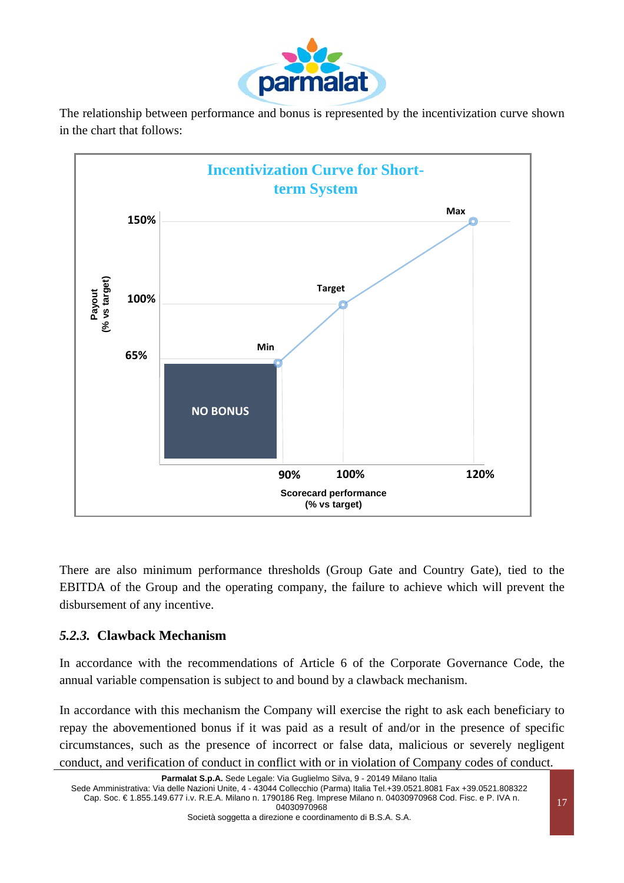

The relationship between performance and bonus is represented by the incentivization curve shown in the chart that follows:



There are also minimum performance thresholds (Group Gate and Country Gate), tied to the EBITDA of the Group and the operating company, the failure to achieve which will prevent the disbursement of any incentive.

#### *5.2.3.* **Clawback Mechanism**

In accordance with the recommendations of Article 6 of the Corporate Governance Code, the annual variable compensation is subject to and bound by a clawback mechanism.

In accordance with this mechanism the Company will exercise the right to ask each beneficiary to repay the abovementioned bonus if it was paid as a result of and/or in the presence of specific circumstances, such as the presence of incorrect or false data, malicious or severely negligent conduct, and verification of conduct in conflict with or in violation of Company codes of conduct.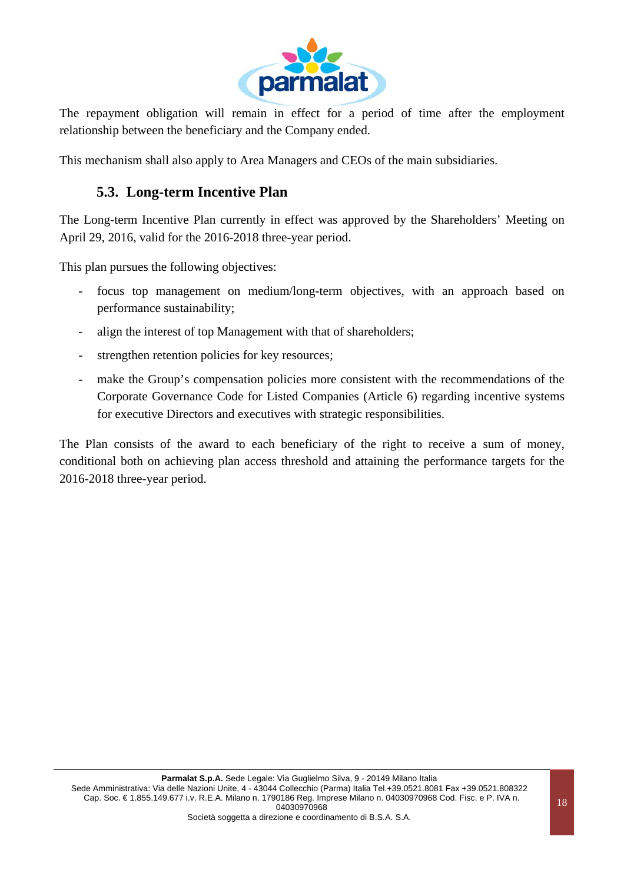

The repayment obligation will remain in effect for a period of time after the employment relationship between the beneficiary and the Company ended.

This mechanism shall also apply to Area Managers and CEOs of the main subsidiaries.

### **5.3. Long-term Incentive Plan**

The Long-term Incentive Plan currently in effect was approved by the Shareholders' Meeting on April 29, 2016, valid for the 2016-2018 three-year period.

This plan pursues the following objectives:

- focus top management on medium/long-term objectives, with an approach based on performance sustainability;
- align the interest of top Management with that of shareholders;
- strengthen retention policies for key resources;
- make the Group's compensation policies more consistent with the recommendations of the Corporate Governance Code for Listed Companies (Article 6) regarding incentive systems for executive Directors and executives with strategic responsibilities.

The Plan consists of the award to each beneficiary of the right to receive a sum of money, conditional both on achieving plan access threshold and attaining the performance targets for the 2016-2018 three-year period.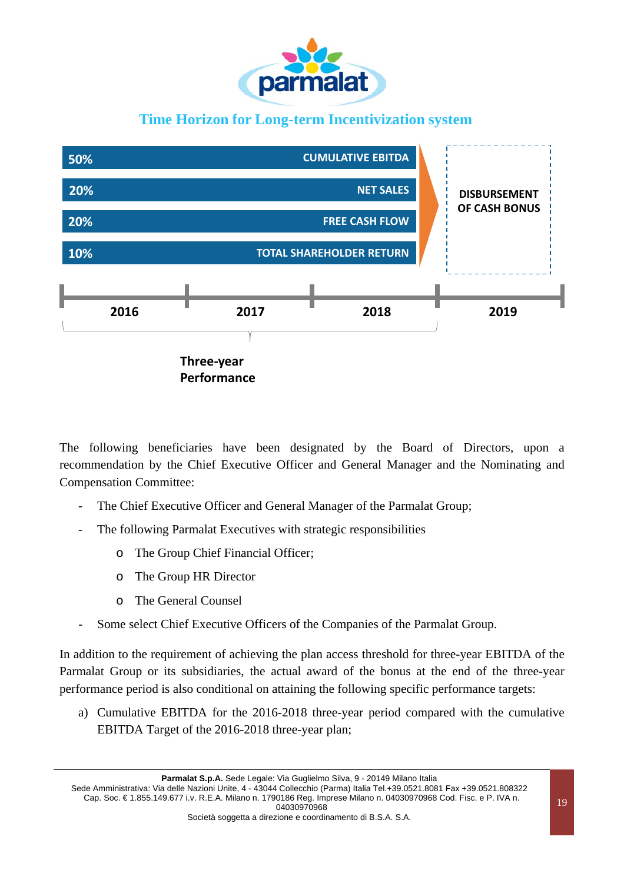

# **Time Horizon for Long-term Incentivization system**



The following beneficiaries have been designated by the Board of Directors, upon a recommendation by the Chief Executive Officer and General Manager and the Nominating and Compensation Committee:

- The Chief Executive Officer and General Manager of the Parmalat Group;
- The following Parmalat Executives with strategic responsibilities
	- o The Group Chief Financial Officer;
	- o The Group HR Director
	- o The General Counsel
- Some select Chief Executive Officers of the Companies of the Parmalat Group.

In addition to the requirement of achieving the plan access threshold for three-year EBITDA of the Parmalat Group or its subsidiaries, the actual award of the bonus at the end of the three-year performance period is also conditional on attaining the following specific performance targets:

a) Cumulative EBITDA for the 2016-2018 three-year period compared with the cumulative EBITDA Target of the 2016-2018 three-year plan;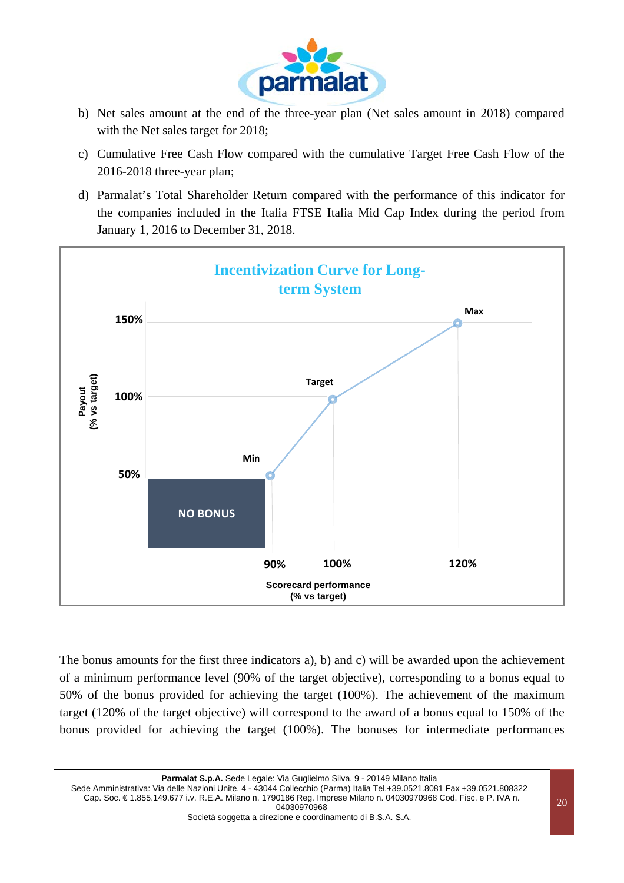

- b) Net sales amount at the end of the three-year plan (Net sales amount in 2018) compared with the Net sales target for 2018;
- c) Cumulative Free Cash Flow compared with the cumulative Target Free Cash Flow of the 2016-2018 three-year plan;
- d) Parmalat's Total Shareholder Return compared with the performance of this indicator for the companies included in the Italia FTSE Italia Mid Cap Index during the period from January 1, 2016 to December 31, 2018.



The bonus amounts for the first three indicators a), b) and c) will be awarded upon the achievement of a minimum performance level (90% of the target objective), corresponding to a bonus equal to 50% of the bonus provided for achieving the target (100%). The achievement of the maximum target (120% of the target objective) will correspond to the award of a bonus equal to 150% of the bonus provided for achieving the target (100%). The bonuses for intermediate performances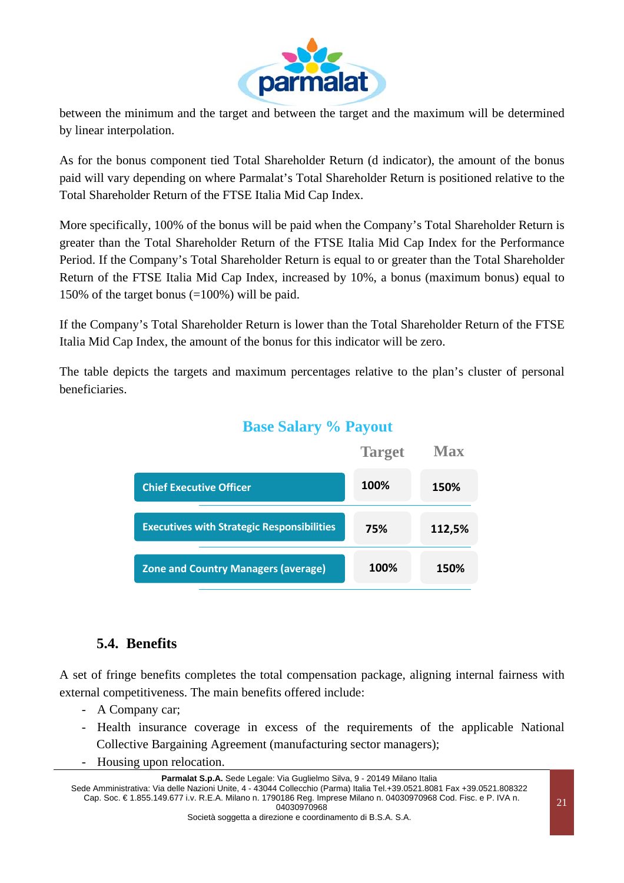

between the minimum and the target and between the target and the maximum will be determined by linear interpolation.

As for the bonus component tied Total Shareholder Return (d indicator), the amount of the bonus paid will vary depending on where Parmalat's Total Shareholder Return is positioned relative to the Total Shareholder Return of the FTSE Italia Mid Cap Index.

More specifically, 100% of the bonus will be paid when the Company's Total Shareholder Return is greater than the Total Shareholder Return of the FTSE Italia Mid Cap Index for the Performance Period. If the Company's Total Shareholder Return is equal to or greater than the Total Shareholder Return of the FTSE Italia Mid Cap Index, increased by 10%, a bonus (maximum bonus) equal to 150% of the target bonus (=100%) will be paid.

If the Company's Total Shareholder Return is lower than the Total Shareholder Return of the FTSE Italia Mid Cap Index, the amount of the bonus for this indicator will be zero.

The table depicts the targets and maximum percentages relative to the plan's cluster of personal beneficiaries.



# **Base Salary % Payout**

### **5.4. Benefits**

A set of fringe benefits completes the total compensation package, aligning internal fairness with external competitiveness. The main benefits offered include:

- A Company car;
- Health insurance coverage in excess of the requirements of the applicable National Collective Bargaining Agreement (manufacturing sector managers);
- Housing upon relocation.

**Parmalat S.p.A.** Sede Legale: Via Guglielmo Silva, 9 - 20149 Milano Italia

Sede Amministrativa: Via delle Nazioni Unite, 4 - 43044 Collecchio (Parma) Italia Tel.+39.0521.8081 Fax +39.0521.808322 Cap. Soc. € 1.855.149.677 i.v. R.E.A. Milano n. 1790186 Reg. Imprese Milano n. 04030970968 Cod. Fisc. e P. IVA n. 04030970968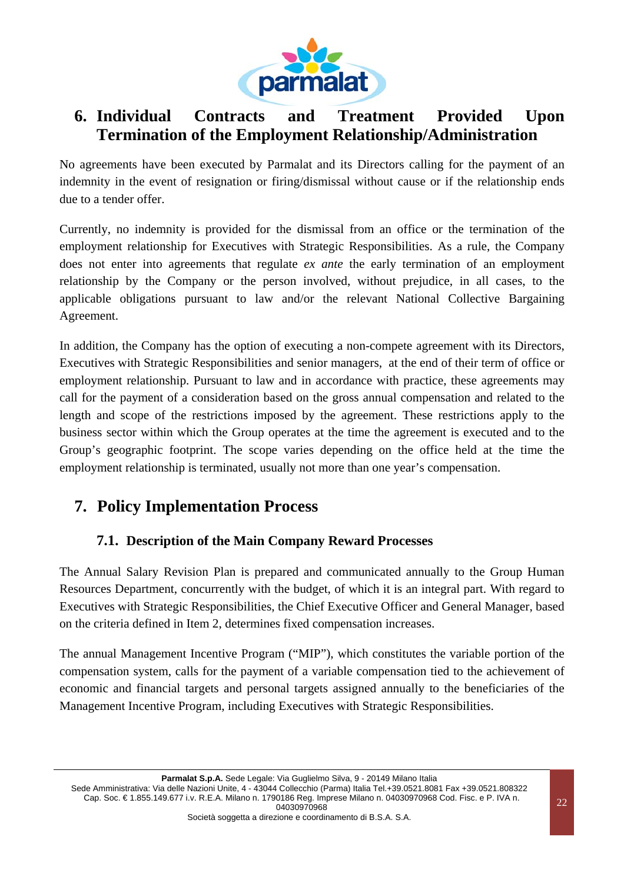

# **6. Individual Contracts and Treatment Provided Upon Termination of the Employment Relationship/Administration**

No agreements have been executed by Parmalat and its Directors calling for the payment of an indemnity in the event of resignation or firing/dismissal without cause or if the relationship ends due to a tender offer.

Currently, no indemnity is provided for the dismissal from an office or the termination of the employment relationship for Executives with Strategic Responsibilities. As a rule, the Company does not enter into agreements that regulate *ex ante* the early termination of an employment relationship by the Company or the person involved, without prejudice, in all cases, to the applicable obligations pursuant to law and/or the relevant National Collective Bargaining Agreement.

In addition, the Company has the option of executing a non-compete agreement with its Directors, Executives with Strategic Responsibilities and senior managers, at the end of their term of office or employment relationship. Pursuant to law and in accordance with practice, these agreements may call for the payment of a consideration based on the gross annual compensation and related to the length and scope of the restrictions imposed by the agreement. These restrictions apply to the business sector within which the Group operates at the time the agreement is executed and to the Group's geographic footprint. The scope varies depending on the office held at the time the employment relationship is terminated, usually not more than one year's compensation.

# **7. Policy Implementation Process**

### **7.1. Description of the Main Company Reward Processes**

The Annual Salary Revision Plan is prepared and communicated annually to the Group Human Resources Department, concurrently with the budget, of which it is an integral part. With regard to Executives with Strategic Responsibilities, the Chief Executive Officer and General Manager, based on the criteria defined in Item 2, determines fixed compensation increases.

The annual Management Incentive Program ("MIP"), which constitutes the variable portion of the compensation system, calls for the payment of a variable compensation tied to the achievement of economic and financial targets and personal targets assigned annually to the beneficiaries of the Management Incentive Program, including Executives with Strategic Responsibilities.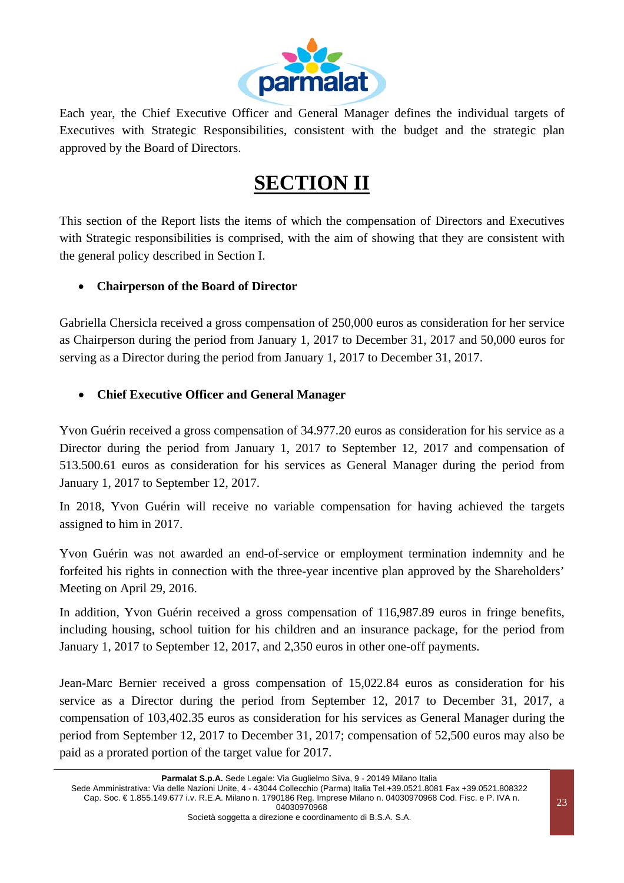

Each year, the Chief Executive Officer and General Manager defines the individual targets of Executives with Strategic Responsibilities, consistent with the budget and the strategic plan approved by the Board of Directors.

# **SECTION II**

This section of the Report lists the items of which the compensation of Directors and Executives with Strategic responsibilities is comprised, with the aim of showing that they are consistent with the general policy described in Section I.

#### **Chairperson of the Board of Director**

Gabriella Chersicla received a gross compensation of 250,000 euros as consideration for her service as Chairperson during the period from January 1, 2017 to December 31, 2017 and 50,000 euros for serving as a Director during the period from January 1, 2017 to December 31, 2017.

#### **Chief Executive Officer and General Manager**

Yvon Guérin received a gross compensation of 34.977.20 euros as consideration for his service as a Director during the period from January 1, 2017 to September 12, 2017 and compensation of 513.500.61 euros as consideration for his services as General Manager during the period from January 1, 2017 to September 12, 2017.

In 2018, Yvon Guérin will receive no variable compensation for having achieved the targets assigned to him in 2017.

Yvon Guérin was not awarded an end-of-service or employment termination indemnity and he forfeited his rights in connection with the three-year incentive plan approved by the Shareholders' Meeting on April 29, 2016.

In addition, Yvon Guérin received a gross compensation of 116,987.89 euros in fringe benefits, including housing, school tuition for his children and an insurance package, for the period from January 1, 2017 to September 12, 2017, and 2,350 euros in other one-off payments.

Jean-Marc Bernier received a gross compensation of 15,022.84 euros as consideration for his service as a Director during the period from September 12, 2017 to December 31, 2017, a compensation of 103,402.35 euros as consideration for his services as General Manager during the period from September 12, 2017 to December 31, 2017; compensation of 52,500 euros may also be paid as a prorated portion of the target value for 2017.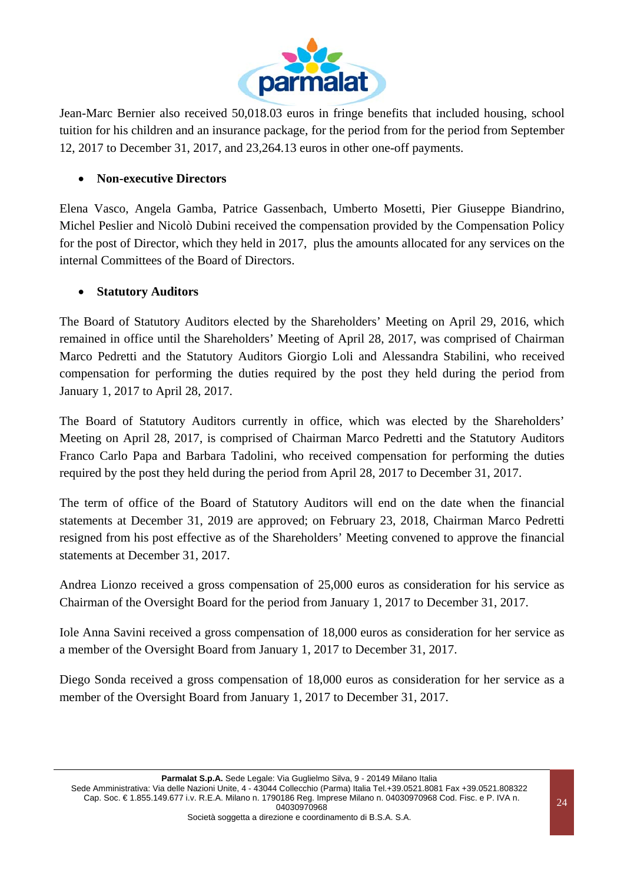

Jean-Marc Bernier also received 50,018.03 euros in fringe benefits that included housing, school tuition for his children and an insurance package, for the period from for the period from September 12, 2017 to December 31, 2017, and 23,264.13 euros in other one-off payments.

#### **Non-executive Directors**

Elena Vasco, Angela Gamba, Patrice Gassenbach, Umberto Mosetti, Pier Giuseppe Biandrino, Michel Peslier and Nicolò Dubini received the compensation provided by the Compensation Policy for the post of Director, which they held in 2017, plus the amounts allocated for any services on the internal Committees of the Board of Directors.

#### **Statutory Auditors**

The Board of Statutory Auditors elected by the Shareholders' Meeting on April 29, 2016, which remained in office until the Shareholders' Meeting of April 28, 2017, was comprised of Chairman Marco Pedretti and the Statutory Auditors Giorgio Loli and Alessandra Stabilini, who received compensation for performing the duties required by the post they held during the period from January 1, 2017 to April 28, 2017.

The Board of Statutory Auditors currently in office, which was elected by the Shareholders' Meeting on April 28, 2017, is comprised of Chairman Marco Pedretti and the Statutory Auditors Franco Carlo Papa and Barbara Tadolini, who received compensation for performing the duties required by the post they held during the period from April 28, 2017 to December 31, 2017.

The term of office of the Board of Statutory Auditors will end on the date when the financial statements at December 31, 2019 are approved; on February 23, 2018, Chairman Marco Pedretti resigned from his post effective as of the Shareholders' Meeting convened to approve the financial statements at December 31, 2017.

Andrea Lionzo received a gross compensation of 25,000 euros as consideration for his service as Chairman of the Oversight Board for the period from January 1, 2017 to December 31, 2017.

Iole Anna Savini received a gross compensation of 18,000 euros as consideration for her service as a member of the Oversight Board from January 1, 2017 to December 31, 2017.

Diego Sonda received a gross compensation of 18,000 euros as consideration for her service as a member of the Oversight Board from January 1, 2017 to December 31, 2017.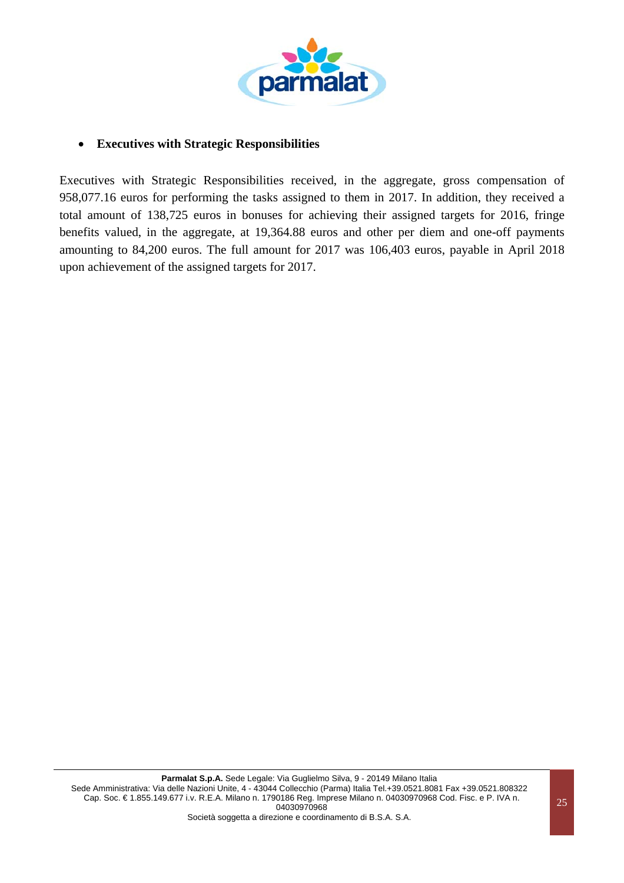

#### **Executives with Strategic Responsibilities**

Executives with Strategic Responsibilities received, in the aggregate, gross compensation of 958,077.16 euros for performing the tasks assigned to them in 2017. In addition, they received a total amount of 138,725 euros in bonuses for achieving their assigned targets for 2016, fringe benefits valued, in the aggregate, at 19,364.88 euros and other per diem and one-off payments amounting to 84,200 euros. The full amount for 2017 was 106,403 euros, payable in April 2018 upon achievement of the assigned targets for 2017.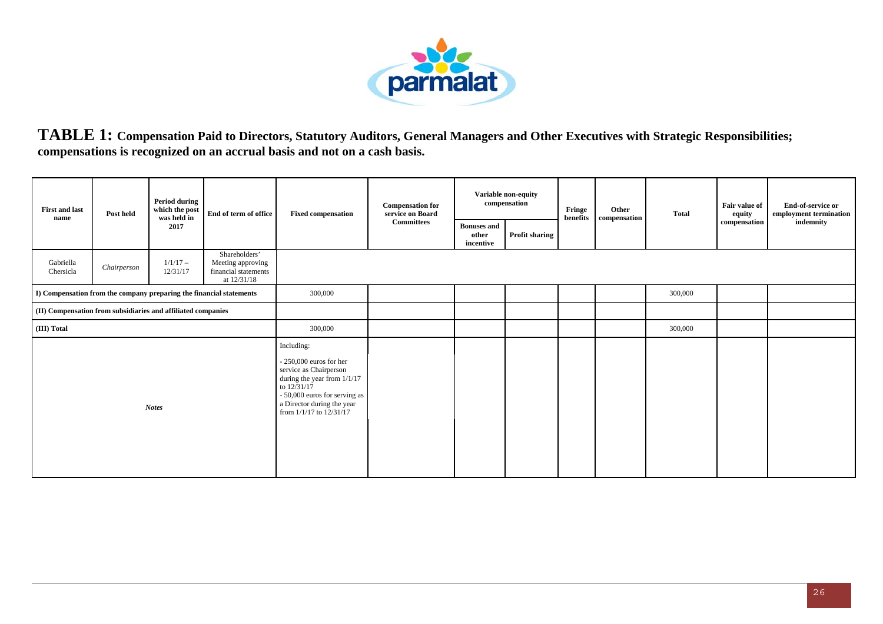

**TABLE 1: Compensation Paid to Directors, Statutory Auditors, General Managers and Other Executives with Strategic Responsibilities; compensations is recognized on an accrual basis and not on a cash basis.** 

| <b>First and last</b><br>name                                       | Post held   | <b>Period during</b><br>which the post<br>was held in | End of term of office                                                     | <b>Fixed compensation</b>                                                                                                                                                                                    | <b>Compensation for</b><br>service on Board |                                          | Variable non-equity<br>compensation | Fringe<br>benefits | Other<br>compensation | Total   | Fair value of<br>equity | End-of-service or<br>employment termination |
|---------------------------------------------------------------------|-------------|-------------------------------------------------------|---------------------------------------------------------------------------|--------------------------------------------------------------------------------------------------------------------------------------------------------------------------------------------------------------|---------------------------------------------|------------------------------------------|-------------------------------------|--------------------|-----------------------|---------|-------------------------|---------------------------------------------|
|                                                                     |             | 2017                                                  |                                                                           |                                                                                                                                                                                                              | Committees                                  | <b>Bonuses and</b><br>other<br>incentive | <b>Profit sharing</b>               |                    |                       |         | compensation            | indemnity                                   |
| Gabriella<br>Chersicla                                              | Chairperson | $1/1/17-$<br>12/31/17                                 | Shareholders'<br>Meeting approving<br>financial statements<br>at 12/31/18 |                                                                                                                                                                                                              |                                             |                                          |                                     |                    |                       |         |                         |                                             |
| I) Compensation from the company preparing the financial statements |             |                                                       |                                                                           | 300,000                                                                                                                                                                                                      |                                             |                                          |                                     |                    |                       | 300,000 |                         |                                             |
| (II) Compensation from subsidiaries and affiliated companies        |             |                                                       |                                                                           |                                                                                                                                                                                                              |                                             |                                          |                                     |                    |                       |         |                         |                                             |
| (III) Total                                                         |             |                                                       |                                                                           | 300,000                                                                                                                                                                                                      |                                             |                                          |                                     |                    |                       | 300,000 |                         |                                             |
|                                                                     |             | <b>Notes</b>                                          |                                                                           | Including:<br>$-250,000$ euros for her<br>service as Chairperson<br>during the year from $1/1/17$<br>to $12/31/17$<br>- 50,000 euros for serving as<br>a Director during the year<br>from 1/1/17 to 12/31/17 |                                             |                                          |                                     |                    |                       |         |                         |                                             |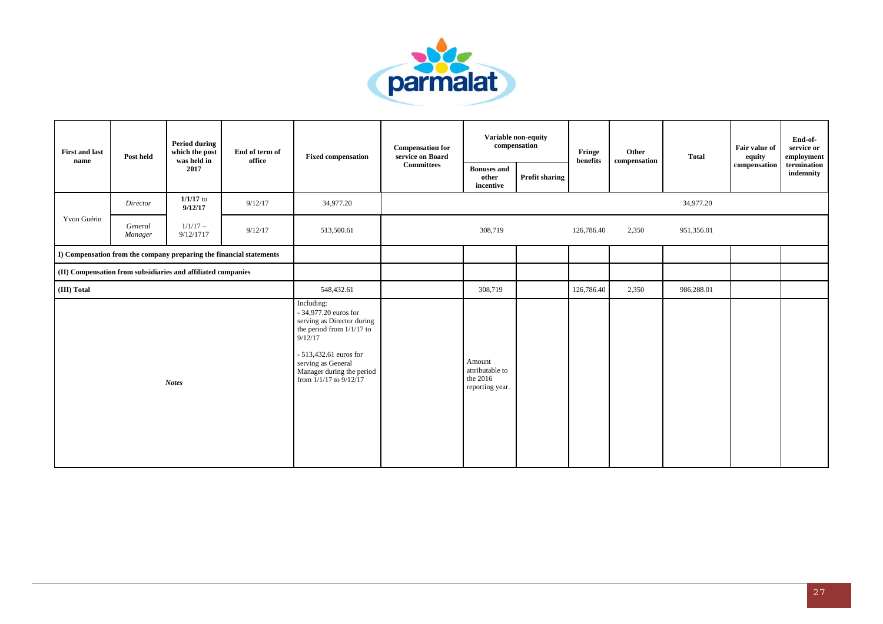

| <b>First and last</b><br>name | Post held          | <b>Period during</b><br>which the post<br>was held in        | End of term of<br>office                                            | <b>Fixed compensation</b>                                                                                                                                                                                           | <b>Compensation for</b><br>service on Board |                                                          | Variable non-equity<br>compensation | Fringe<br>benefits | Other<br>compensation | <b>Total</b> | Fair value of<br>equity<br>compensation | End-of-<br>service or<br>employment |
|-------------------------------|--------------------|--------------------------------------------------------------|---------------------------------------------------------------------|---------------------------------------------------------------------------------------------------------------------------------------------------------------------------------------------------------------------|---------------------------------------------|----------------------------------------------------------|-------------------------------------|--------------------|-----------------------|--------------|-----------------------------------------|-------------------------------------|
|                               |                    | 2017                                                         |                                                                     |                                                                                                                                                                                                                     | <b>Committees</b>                           | <b>Bonuses</b> and<br>other<br>incentive                 | <b>Profit sharing</b>               |                    |                       |              |                                         | termination<br>indemnity            |
|                               | Director           | $1/1/17$ to<br>9/12/17                                       | 9/12/17                                                             | 34,977.20                                                                                                                                                                                                           |                                             |                                                          |                                     |                    |                       | 34,977.20    |                                         |                                     |
| Yvon Guérin                   | General<br>Manager | $1/1/17-$<br>9/12/1717                                       | 9/12/17                                                             | 513,500.61                                                                                                                                                                                                          |                                             | 308,719                                                  |                                     | 126,786.40         | 2,350                 | 951,356.01   |                                         |                                     |
|                               |                    |                                                              | I) Compensation from the company preparing the financial statements |                                                                                                                                                                                                                     |                                             |                                                          |                                     |                    |                       |              |                                         |                                     |
|                               |                    | (II) Compensation from subsidiaries and affiliated companies |                                                                     |                                                                                                                                                                                                                     |                                             |                                                          |                                     |                    |                       |              |                                         |                                     |
| (III) Total                   |                    |                                                              |                                                                     | 548,432.61                                                                                                                                                                                                          |                                             | 308,719                                                  |                                     | 126,786.40         | 2,350                 | 986,288.01   |                                         |                                     |
|                               |                    | <b>Notes</b>                                                 |                                                                     | Including:<br>- 34,977.20 euros for<br>serving as Director during<br>the period from $1/1/17$ to<br>9/12/17<br>$-513,432.61$ euros for<br>serving as General<br>Manager during the period<br>from 1/1/17 to 9/12/17 |                                             | Amount<br>attributable to<br>the 2016<br>reporting year. |                                     |                    |                       |              |                                         |                                     |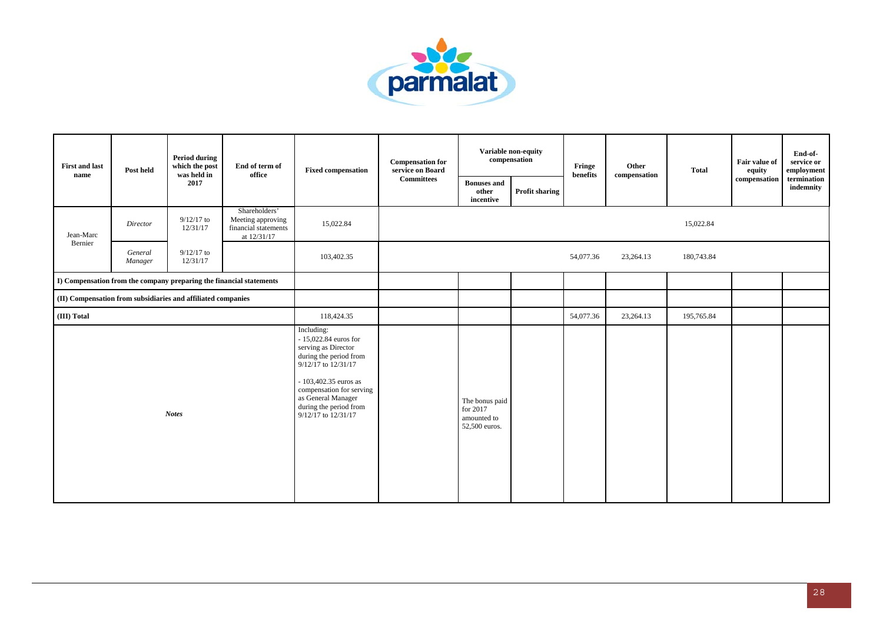

| <b>First and last</b><br>name | Post held                                                                                                                                                                     | <b>Period during</b><br>which the post | End of term of<br>office                                                  | <b>Fixed compensation</b>                                                                                                                                                                                                                | <b>Compensation for</b><br>service on Board |                                                            | Variable non-equity<br>compensation | Fringe<br>benefits | Other<br>compensation | <b>Total</b> | Fair value of<br>equity | End-of-<br>service or<br>employment |
|-------------------------------|-------------------------------------------------------------------------------------------------------------------------------------------------------------------------------|----------------------------------------|---------------------------------------------------------------------------|------------------------------------------------------------------------------------------------------------------------------------------------------------------------------------------------------------------------------------------|---------------------------------------------|------------------------------------------------------------|-------------------------------------|--------------------|-----------------------|--------------|-------------------------|-------------------------------------|
|                               |                                                                                                                                                                               | 2017                                   |                                                                           |                                                                                                                                                                                                                                          | <b>Committees</b>                           | <b>Bonuses</b> and<br>other<br>incentive                   | Profit sharing                      |                    |                       |              | compensation            | termination<br>indemnity            |
| Jean-Marc                     | Director                                                                                                                                                                      | $9/12/17$ to<br>12/31/17               | Shareholders'<br>Meeting approving<br>financial statements<br>at 12/31/17 | 15,022.84                                                                                                                                                                                                                                |                                             |                                                            |                                     |                    |                       | 15,022.84    |                         |                                     |
|                               | General<br>Manager                                                                                                                                                            | $9/12/17$ to<br>12/31/17               |                                                                           | 103,402.35                                                                                                                                                                                                                               |                                             |                                                            |                                     | 54,077.36          | 23,264.13             | 180,743.84   |                         |                                     |
|                               |                                                                                                                                                                               |                                        |                                                                           |                                                                                                                                                                                                                                          |                                             |                                                            |                                     |                    |                       |              |                         |                                     |
|                               | was held in<br>Bernier<br>I) Compensation from the company preparing the financial statements<br>(II) Compensation from subsidiaries and affiliated companies<br><b>Notes</b> |                                        |                                                                           |                                                                                                                                                                                                                                          |                                             |                                                            |                                     |                    |                       |              |                         |                                     |
| (III) Total                   |                                                                                                                                                                               |                                        |                                                                           | 118,424.35                                                                                                                                                                                                                               |                                             |                                                            |                                     | 54,077.36          | 23,264.13             | 195,765.84   |                         |                                     |
|                               |                                                                                                                                                                               |                                        |                                                                           | Including:<br>$-15,022.84$ euros for<br>serving as Director<br>during the period from<br>9/12/17 to 12/31/17<br>- 103,402.35 euros as<br>compensation for serving<br>as General Manager<br>during the period from<br>9/12/17 to 12/31/17 |                                             | The bonus paid<br>for 2017<br>amounted to<br>52,500 euros. |                                     |                    |                       |              |                         |                                     |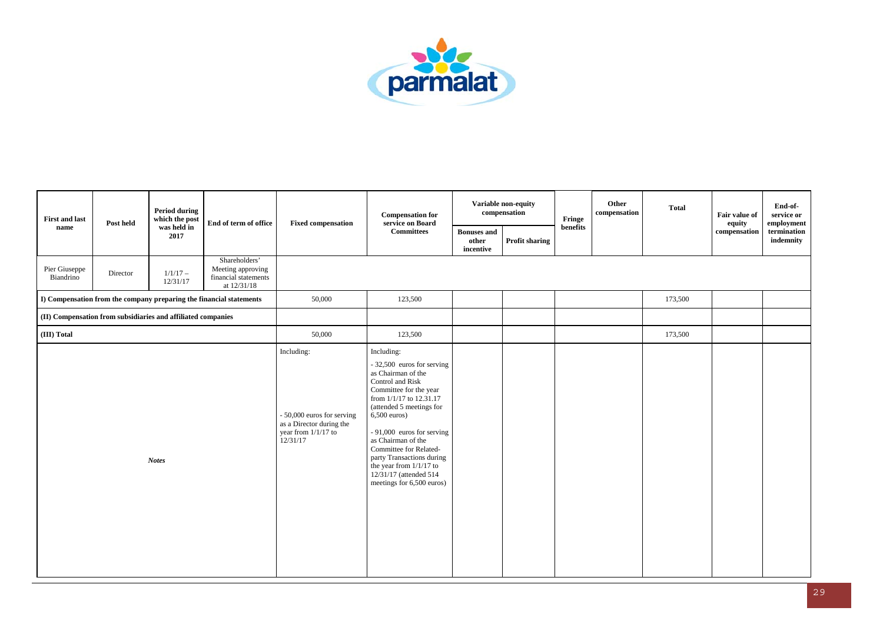

| <b>First and last</b><br>Post held                                  | <b>Period during</b><br>which the post | End of term of office                                                     | <b>Fixed compensation</b>                                                                               | <b>Compensation for</b><br>service on Board                                                                                                                                                                                                                                                                                                                                            |                                          | Variable non-equity<br>compensation | Fringe   | Other<br>compensation | <b>Total</b> | Fair value of<br>equity | End-of-<br>service or<br>employment |
|---------------------------------------------------------------------|----------------------------------------|---------------------------------------------------------------------------|---------------------------------------------------------------------------------------------------------|----------------------------------------------------------------------------------------------------------------------------------------------------------------------------------------------------------------------------------------------------------------------------------------------------------------------------------------------------------------------------------------|------------------------------------------|-------------------------------------|----------|-----------------------|--------------|-------------------------|-------------------------------------|
| name                                                                | was held in<br>2017                    |                                                                           |                                                                                                         | <b>Committees</b>                                                                                                                                                                                                                                                                                                                                                                      | <b>Bonuses</b> and<br>other<br>incentive | Profit sharing                      | benefits |                       |              | compensation            | termination<br>indemnity            |
| Pier Giuseppe<br>Director<br>Biandrino                              | $1/1/17 -$<br>12/31/17                 | Shareholders'<br>Meeting approving<br>financial statements<br>at 12/31/18 |                                                                                                         |                                                                                                                                                                                                                                                                                                                                                                                        |                                          |                                     |          |                       |              |                         |                                     |
| I) Compensation from the company preparing the financial statements |                                        |                                                                           | 50,000                                                                                                  | 123,500                                                                                                                                                                                                                                                                                                                                                                                |                                          |                                     |          |                       | 173,500      |                         |                                     |
| (II) Compensation from subsidiaries and affiliated companies        |                                        |                                                                           |                                                                                                         |                                                                                                                                                                                                                                                                                                                                                                                        |                                          |                                     |          |                       |              |                         |                                     |
| (III) Total                                                         |                                        |                                                                           | 50,000                                                                                                  | 123,500                                                                                                                                                                                                                                                                                                                                                                                |                                          |                                     |          |                       | 173,500      |                         |                                     |
|                                                                     | <b>Notes</b>                           |                                                                           | Including:<br>- 50,000 euros for serving<br>as a Director during the<br>year from 1/1/17 to<br>12/31/17 | Including:<br>- 32,500 euros for serving<br>as Chairman of the<br>Control and Risk<br>Committee for the year<br>from 1/1/17 to 12.31.17<br>(attended 5 meetings for<br>$6,500$ euros)<br>$-91,000$ euros for serving<br>as Chairman of the<br>Committee for Related-<br>party Transactions during<br>the year from $1/1/17$ to<br>12/31/17 (attended 514)<br>meetings for 6,500 euros) |                                          |                                     |          |                       |              |                         |                                     |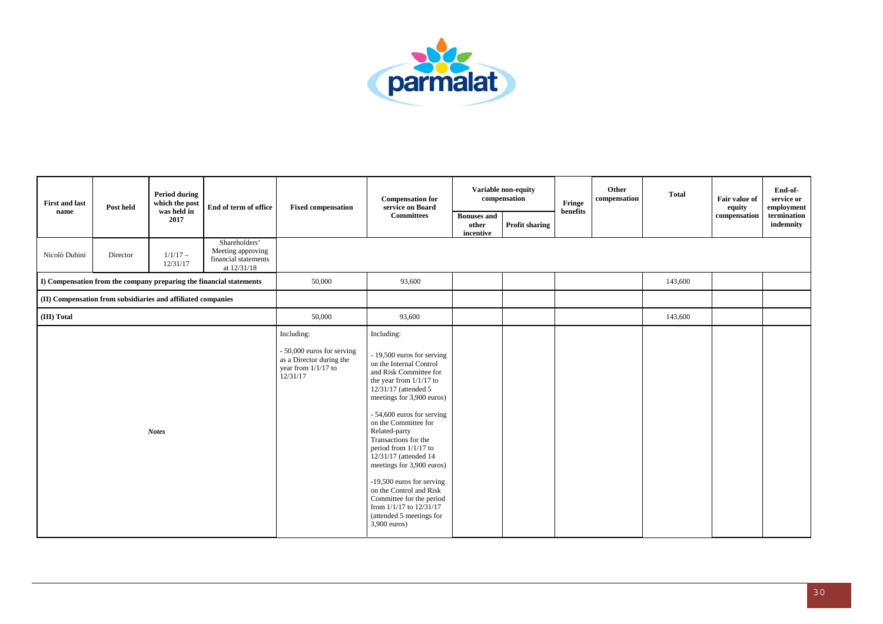

| <b>First and last</b> | Post held                                                    | <b>Period during</b><br>which the post | End of term of office                                                     | <b>Fixed compensation</b>                                                                               | <b>Compensation for</b><br>service on Board                                                                                                                                                                                                                                                                                                                                                                                                                                                                                |                                          | Variable non-equity<br>compensation | Fringe   | Other<br>compensation | <b>Total</b> | Fair value of<br>equity | End-of-<br>service or<br>employment |
|-----------------------|--------------------------------------------------------------|----------------------------------------|---------------------------------------------------------------------------|---------------------------------------------------------------------------------------------------------|----------------------------------------------------------------------------------------------------------------------------------------------------------------------------------------------------------------------------------------------------------------------------------------------------------------------------------------------------------------------------------------------------------------------------------------------------------------------------------------------------------------------------|------------------------------------------|-------------------------------------|----------|-----------------------|--------------|-------------------------|-------------------------------------|
| name                  |                                                              | was held in<br>2017                    |                                                                           |                                                                                                         | <b>Committees</b>                                                                                                                                                                                                                                                                                                                                                                                                                                                                                                          | <b>Bonuses</b> and<br>other<br>incentive | <b>Profit sharing</b>               | benefits |                       |              | compensation            | termination<br>indemnity            |
| Nicolò Dubini         | Director                                                     | $1/1/17 -$<br>12/31/17                 | Shareholders'<br>Meeting approving<br>financial statements<br>at 12/31/18 |                                                                                                         |                                                                                                                                                                                                                                                                                                                                                                                                                                                                                                                            |                                          |                                     |          |                       |              |                         |                                     |
|                       |                                                              |                                        | I) Compensation from the company preparing the financial statements       | 50,000                                                                                                  | 93,600                                                                                                                                                                                                                                                                                                                                                                                                                                                                                                                     |                                          |                                     |          |                       | 143,600      |                         |                                     |
|                       | (II) Compensation from subsidiaries and affiliated companies |                                        |                                                                           |                                                                                                         |                                                                                                                                                                                                                                                                                                                                                                                                                                                                                                                            |                                          |                                     |          |                       |              |                         |                                     |
| (III) Total           |                                                              |                                        |                                                                           | 50,000                                                                                                  | 93,600                                                                                                                                                                                                                                                                                                                                                                                                                                                                                                                     |                                          |                                     |          |                       | 143,600      |                         |                                     |
|                       |                                                              | <b>Notes</b>                           |                                                                           | Including:<br>- 50,000 euros for serving<br>as a Director during the<br>year from 1/1/17 to<br>12/31/17 | Including:<br>- 19,500 euros for serving<br>on the Internal Control<br>and Risk Committee for<br>the year from 1/1/17 to<br>12/31/17 (attended 5<br>meetings for 3,900 euros)<br>- 54,600 euros for serving<br>on the Committee for<br>Related-party<br>Transactions for the<br>period from $1/1/17$ to<br>12/31/17 (attended 14<br>meetings for 3,900 euros)<br>-19,500 euros for serving<br>on the Control and Risk<br>Committee for the period<br>from 1/1/17 to 12/31/17<br>(attended 5 meetings for<br>$3,900$ euros) |                                          |                                     |          |                       |              |                         |                                     |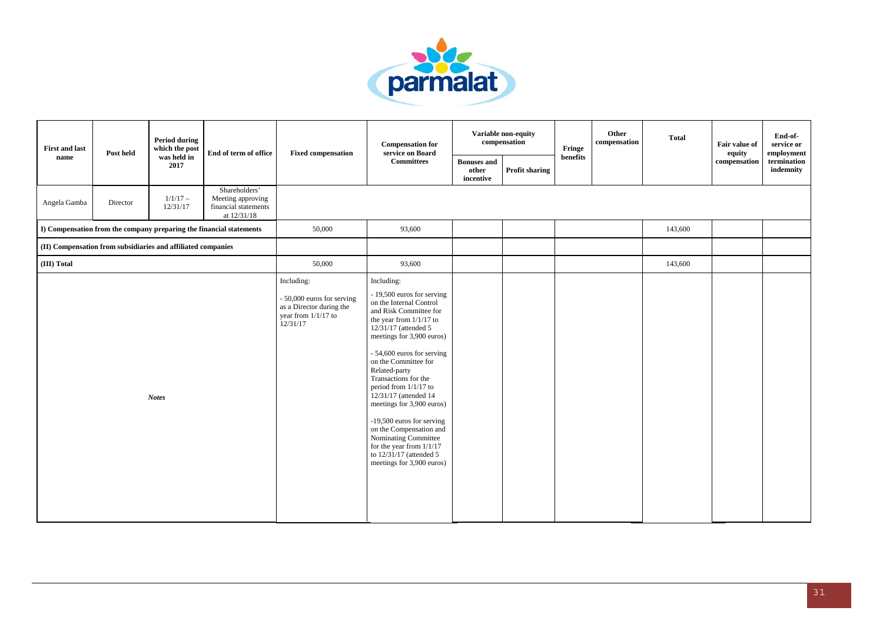

| <b>First and last</b> | Post held                                                    | <b>Period during</b><br>which the post | End of term of office                                                     | <b>Fixed compensation</b>                                                                               | <b>Compensation for</b><br>service on Board                                                                                                                                                                                                                                                                                                                                                                                                                                                                                             |                                          | <b>Variable non-equity</b><br>compensation | Fringe   | Other<br>compensation | <b>Total</b> | <b>Fair value of</b><br>equity | End-of-<br>service or<br>employment |
|-----------------------|--------------------------------------------------------------|----------------------------------------|---------------------------------------------------------------------------|---------------------------------------------------------------------------------------------------------|-----------------------------------------------------------------------------------------------------------------------------------------------------------------------------------------------------------------------------------------------------------------------------------------------------------------------------------------------------------------------------------------------------------------------------------------------------------------------------------------------------------------------------------------|------------------------------------------|--------------------------------------------|----------|-----------------------|--------------|--------------------------------|-------------------------------------|
| name                  |                                                              | was held in<br>2017                    |                                                                           |                                                                                                         | <b>Committees</b>                                                                                                                                                                                                                                                                                                                                                                                                                                                                                                                       | <b>Bonuses</b> and<br>other<br>incentive | Profit sharing                             | benefits |                       |              | compensation                   | termination<br>indemnity            |
| Angela Gamba          | Director                                                     | $1/1/17 -$<br>12/31/17                 | Shareholders'<br>Meeting approving<br>financial statements<br>at 12/31/18 |                                                                                                         |                                                                                                                                                                                                                                                                                                                                                                                                                                                                                                                                         |                                          |                                            |          |                       |              |                                |                                     |
|                       |                                                              |                                        | I) Compensation from the company preparing the financial statements       | 50,000                                                                                                  | 93,600                                                                                                                                                                                                                                                                                                                                                                                                                                                                                                                                  |                                          |                                            |          |                       | 143,600      |                                |                                     |
|                       | (II) Compensation from subsidiaries and affiliated companies |                                        |                                                                           |                                                                                                         |                                                                                                                                                                                                                                                                                                                                                                                                                                                                                                                                         |                                          |                                            |          |                       |              |                                |                                     |
| (III) Total           |                                                              |                                        |                                                                           | 50,000                                                                                                  | 93,600                                                                                                                                                                                                                                                                                                                                                                                                                                                                                                                                  |                                          |                                            |          |                       | 143,600      |                                |                                     |
|                       |                                                              | <b>Notes</b>                           |                                                                           | Including:<br>- 50,000 euros for serving<br>as a Director during the<br>year from 1/1/17 to<br>12/31/17 | Including:<br>- 19,500 euros for serving<br>on the Internal Control<br>and Risk Committee for<br>the year from $1/1/17$ to<br>12/31/17 (attended 5<br>meetings for 3,900 euros)<br>- 54,600 euros for serving<br>on the Committee for<br>Related-party<br>Transactions for the<br>period from $1/1/17$ to<br>12/31/17 (attended 14<br>meetings for 3,900 euros)<br>-19,500 euros for serving<br>on the Compensation and<br>Nominating Committee<br>for the year from $1/1/17$<br>to $12/31/17$ (attended 5<br>meetings for 3,900 euros) |                                          |                                            |          |                       |              |                                |                                     |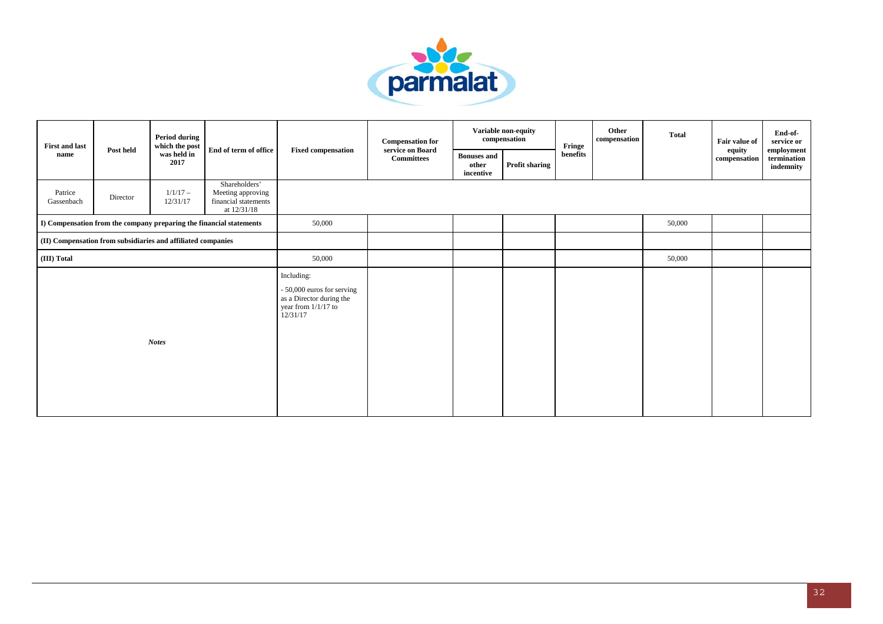

| <b>First and last</b> |                                                              | <b>Period during</b><br>which the post |                                                                           |                                                                                                           | <b>Compensation for</b>               |                                          | Variable non-equity<br>compensation | Fringe   | Other<br>compensation | <b>Total</b> | Fair value of          | End-of-<br>service or                  |
|-----------------------|--------------------------------------------------------------|----------------------------------------|---------------------------------------------------------------------------|-----------------------------------------------------------------------------------------------------------|---------------------------------------|------------------------------------------|-------------------------------------|----------|-----------------------|--------------|------------------------|----------------------------------------|
| name                  | Post held                                                    | was held in<br>2017                    | End of term of office                                                     | <b>Fixed compensation</b>                                                                                 | service on Board<br><b>Committees</b> | <b>Bonuses</b> and<br>other<br>incentive | Profit sharing                      | benefits |                       |              | equity<br>compensation | employment<br>termination<br>indemnity |
| Patrice<br>Gassenbach | Director                                                     | $1/1/17 -$<br>12/31/17                 | Shareholders'<br>Meeting approving<br>financial statements<br>at 12/31/18 |                                                                                                           |                                       |                                          |                                     |          |                       |              |                        |                                        |
|                       |                                                              |                                        | I) Compensation from the company preparing the financial statements       | 50,000                                                                                                    |                                       |                                          |                                     |          |                       | 50,000       |                        |                                        |
|                       | (II) Compensation from subsidiaries and affiliated companies |                                        |                                                                           |                                                                                                           |                                       |                                          |                                     |          |                       |              |                        |                                        |
| (III) Total           |                                                              |                                        |                                                                           | 50,000                                                                                                    |                                       |                                          |                                     |          |                       | 50,000       |                        |                                        |
|                       |                                                              | <b>Notes</b>                           |                                                                           | Including:<br>- 50,000 euros for serving<br>as a Director during the<br>year from $1/1/17$ to<br>12/31/17 |                                       |                                          |                                     |          |                       |              |                        |                                        |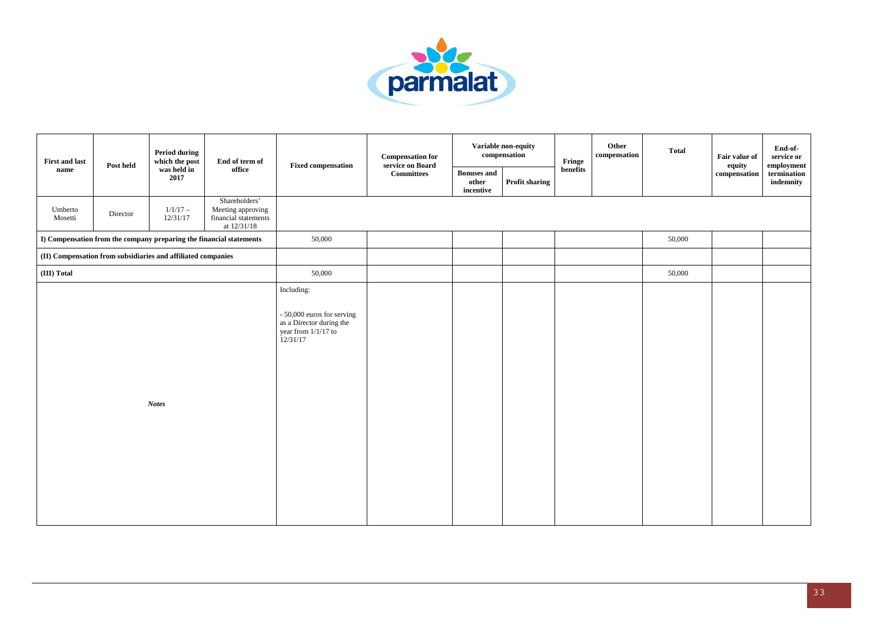

| <b>First and last</b><br>name | Post held                                                    | <b>Period during</b><br>which the post | End of term of                                                            | <b>Fixed compensation</b>                                                                               | <b>Compensation for</b><br>service on Board |                                          | Variable non-equity<br>compensation | Fringe   | Other<br>compensation | <b>Total</b> | Fair value of<br>equity | End-of-<br>service or<br>employment               |
|-------------------------------|--------------------------------------------------------------|----------------------------------------|---------------------------------------------------------------------------|---------------------------------------------------------------------------------------------------------|---------------------------------------------|------------------------------------------|-------------------------------------|----------|-----------------------|--------------|-------------------------|---------------------------------------------------|
|                               |                                                              | was held in<br>2017                    | office                                                                    |                                                                                                         | <b>Committees</b>                           | <b>Bonuses and</b><br>other<br>incentive | <b>Profit sharing</b>               | benefits |                       |              | compensation            | $\qquad \qquad \mathbf{termination}$<br>indemnity |
| Umberto<br>Mosetti            | Director                                                     | $1/1/17 -$<br>12/31/17                 | Shareholders'<br>Meeting approving<br>financial statements<br>at 12/31/18 |                                                                                                         |                                             |                                          |                                     |          |                       |              |                         |                                                   |
|                               |                                                              |                                        | I) Compensation from the company preparing the financial statements       | 50,000                                                                                                  |                                             |                                          |                                     |          |                       | 50,000       |                         |                                                   |
|                               | (II) Compensation from subsidiaries and affiliated companies |                                        |                                                                           |                                                                                                         |                                             |                                          |                                     |          |                       |              |                         |                                                   |
| (III) Total                   |                                                              |                                        |                                                                           | 50,000                                                                                                  |                                             |                                          |                                     |          |                       | 50,000       |                         |                                                   |
|                               |                                                              | <b>Notes</b>                           |                                                                           | Including:<br>- 50,000 euros for serving<br>as a Director during the<br>year from 1/1/17 to<br>12/31/17 |                                             |                                          |                                     |          |                       |              |                         |                                                   |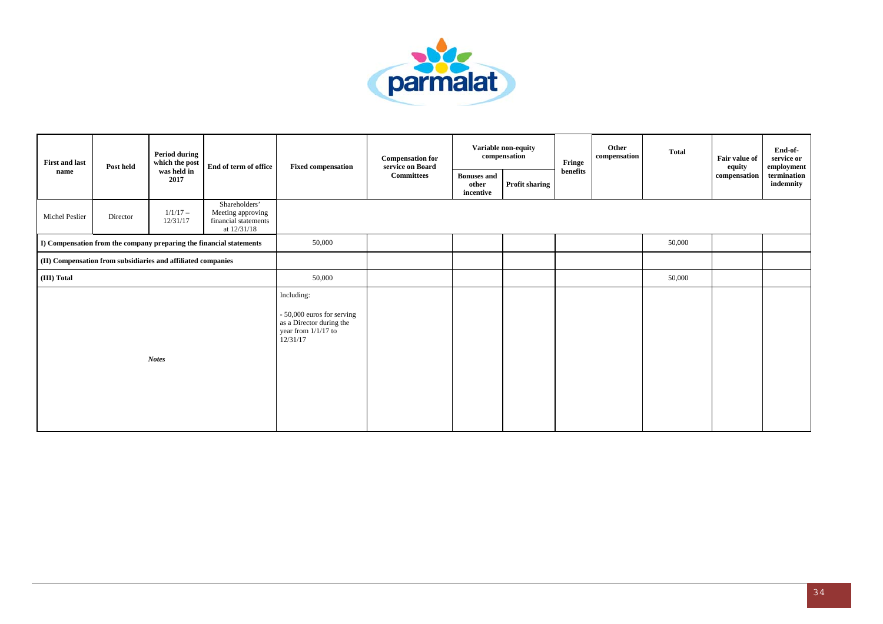

| <b>First and last</b> | Post held                                                    | <b>Period during</b><br>which the post | End of term of office                                                     | <b>Fixed compensation</b>                                                                                 | <b>Compensation for</b><br>service on Board |                                          | Variable non-equity<br>compensation | Fringe   | Other<br>compensation | <b>Total</b> | Fair value of<br>equity | End-of-<br>service or<br>employment |
|-----------------------|--------------------------------------------------------------|----------------------------------------|---------------------------------------------------------------------------|-----------------------------------------------------------------------------------------------------------|---------------------------------------------|------------------------------------------|-------------------------------------|----------|-----------------------|--------------|-------------------------|-------------------------------------|
| name                  |                                                              | was held in<br>2017                    |                                                                           |                                                                                                           | <b>Committees</b>                           | <b>Bonuses</b> and<br>other<br>incentive | Profit sharing                      | benefits |                       |              | compensation            | termination<br>indemnity            |
| Michel Peslier        | Director                                                     | $1/1/17-$<br>12/31/17                  | Shareholders'<br>Meeting approving<br>financial statements<br>at 12/31/18 |                                                                                                           |                                             |                                          |                                     |          |                       |              |                         |                                     |
|                       |                                                              |                                        | I) Compensation from the company preparing the financial statements       | 50,000                                                                                                    |                                             |                                          |                                     |          |                       | 50,000       |                         |                                     |
|                       | (II) Compensation from subsidiaries and affiliated companies |                                        |                                                                           |                                                                                                           |                                             |                                          |                                     |          |                       |              |                         |                                     |
| (III) Total           |                                                              |                                        |                                                                           | 50,000                                                                                                    |                                             |                                          |                                     |          |                       | 50,000       |                         |                                     |
|                       |                                                              | <b>Notes</b>                           |                                                                           | Including:<br>- 50,000 euros for serving<br>as a Director during the<br>year from $1/1/17$ to<br>12/31/17 |                                             |                                          |                                     |          |                       |              |                         |                                     |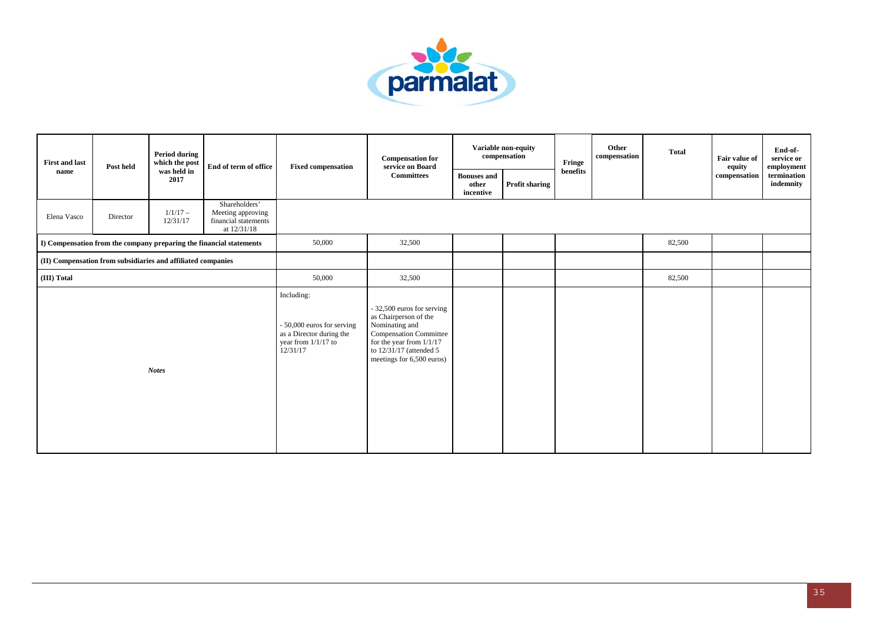

| <b>First and last</b><br>name | Post held                                                    | <b>Period during</b><br>which the post | End of term of office                                                     | <b>Fixed compensation</b>                                                                                 | <b>Compensation for</b><br>service on Board                                                                                                                                                  |                                          | Variable non-equity<br>compensation | Fringe   | Other<br>compensation | <b>Total</b> | Fair value of<br>equity | End-of-<br>service or<br>employment |
|-------------------------------|--------------------------------------------------------------|----------------------------------------|---------------------------------------------------------------------------|-----------------------------------------------------------------------------------------------------------|----------------------------------------------------------------------------------------------------------------------------------------------------------------------------------------------|------------------------------------------|-------------------------------------|----------|-----------------------|--------------|-------------------------|-------------------------------------|
|                               |                                                              | was held in<br>2017                    |                                                                           |                                                                                                           | <b>Committees</b>                                                                                                                                                                            | <b>Bonuses</b> and<br>other<br>incentive | Profit sharing                      | benefits |                       |              | compensation            | termination<br>indemnity            |
| Elena Vasco                   | Director                                                     | $1/1/17-$<br>12/31/17                  | Shareholders'<br>Meeting approving<br>financial statements<br>at 12/31/18 |                                                                                                           |                                                                                                                                                                                              |                                          |                                     |          |                       |              |                         |                                     |
|                               |                                                              |                                        | I) Compensation from the company preparing the financial statements       | 50,000                                                                                                    | 32,500                                                                                                                                                                                       |                                          |                                     |          |                       | 82,500       |                         |                                     |
|                               | (II) Compensation from subsidiaries and affiliated companies |                                        |                                                                           |                                                                                                           |                                                                                                                                                                                              |                                          |                                     |          |                       |              |                         |                                     |
| (III) Total                   |                                                              |                                        |                                                                           | 50,000                                                                                                    | 32,500                                                                                                                                                                                       |                                          |                                     |          |                       | 82,500       |                         |                                     |
|                               |                                                              | <b>Notes</b>                           |                                                                           | Including:<br>- 50,000 euros for serving<br>as a Director during the<br>year from $1/1/17$ to<br>12/31/17 | - 32,500 euros for serving<br>as Chairperson of the<br>Nominating and<br><b>Compensation Committee</b><br>for the year from $1/1/17$<br>to 12/31/17 (attended 5<br>meetings for 6,500 euros) |                                          |                                     |          |                       |              |                         |                                     |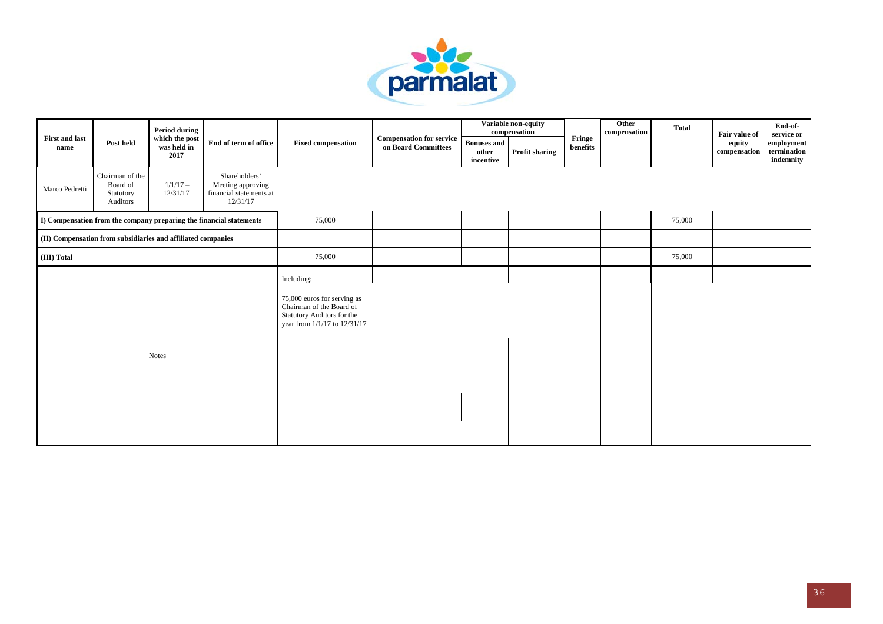

|                               |                                                              | <b>Period during</b>                  |                                                                           |                                                                                                                                     |                                                        |                                          | Variable non-equity<br>compensation |                    | Other<br>compensation | <b>Total</b> | Fair value of                | End-of-<br>service or                  |
|-------------------------------|--------------------------------------------------------------|---------------------------------------|---------------------------------------------------------------------------|-------------------------------------------------------------------------------------------------------------------------------------|--------------------------------------------------------|------------------------------------------|-------------------------------------|--------------------|-----------------------|--------------|------------------------------|----------------------------------------|
| <b>First and last</b><br>name | Post held                                                    | which the post<br>was held in<br>2017 | End of term of office                                                     | <b>Fixed compensation</b>                                                                                                           | <b>Compensation for service</b><br>on Board Committees | <b>Bonuses</b> and<br>other<br>incentive | <b>Profit sharing</b>               | Fringe<br>benefits |                       |              | equity<br>$\bf compensation$ | employment<br>termination<br>indemnity |
| Marco Pedretti                | Chairman of the<br>Board of<br>Statutory<br>Auditors         | $1/1/17-$<br>12/31/17                 | Shareholders'<br>Meeting approving<br>financial statements at<br>12/31/17 |                                                                                                                                     |                                                        |                                          |                                     |                    |                       |              |                              |                                        |
|                               |                                                              |                                       | I) Compensation from the company preparing the financial statements       | 75,000                                                                                                                              |                                                        |                                          |                                     |                    |                       | 75,000       |                              |                                        |
|                               | (II) Compensation from subsidiaries and affiliated companies |                                       |                                                                           |                                                                                                                                     |                                                        |                                          |                                     |                    |                       |              |                              |                                        |
| (III) Total                   |                                                              |                                       |                                                                           | 75,000                                                                                                                              |                                                        |                                          |                                     |                    |                       | 75,000       |                              |                                        |
|                               |                                                              | <b>Notes</b>                          |                                                                           | Including:<br>75,000 euros for serving as<br>Chairman of the Board of<br>Statutory Auditors for the<br>year from 1/1/17 to 12/31/17 |                                                        |                                          |                                     |                    |                       |              |                              |                                        |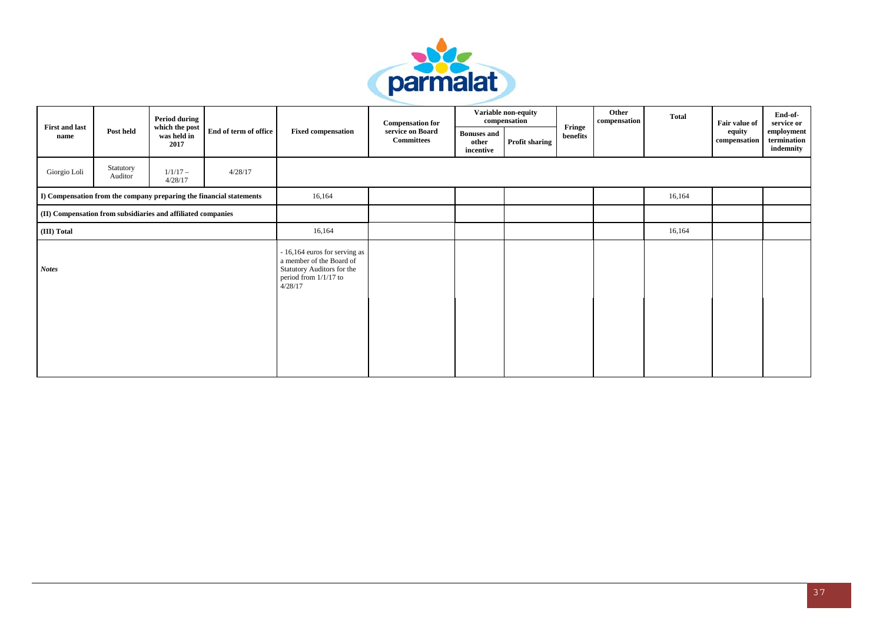

|                               |                                                                    | <b>Period during</b>                  |                                                                     |                                                                                                                             | <b>Compensation for</b>               |                                          | Variable non-equity<br>compensation |                    | Other<br>compensation | <b>Total</b> | Fair value of                 | End-of-<br>service or                  |
|-------------------------------|--------------------------------------------------------------------|---------------------------------------|---------------------------------------------------------------------|-----------------------------------------------------------------------------------------------------------------------------|---------------------------------------|------------------------------------------|-------------------------------------|--------------------|-----------------------|--------------|-------------------------------|----------------------------------------|
| <b>First and last</b><br>name | Post held                                                          | which the post<br>was held in<br>2017 | End of term of office                                               | <b>Fixed compensation</b>                                                                                                   | service on Board<br><b>Committees</b> | <b>Bonuses</b> and<br>other<br>incentive | <b>Profit sharing</b>               | Fringe<br>benefits |                       |              | equity<br>$\bf{compensation}$ | employment<br>termination<br>indemnity |
| Giorgio Loli                  | Statutory<br>Auditor                                               | $1/1/17-$<br>4/28/17                  | 4/28/17                                                             |                                                                                                                             |                                       |                                          |                                     |                    |                       |              |                               |                                        |
|                               |                                                                    |                                       | I) Compensation from the company preparing the financial statements | 16,164                                                                                                                      |                                       |                                          |                                     |                    |                       | 16,164       |                               |                                        |
|                               | $\rm (II)$ Compensation from subsidiaries and affiliated companies |                                       |                                                                     |                                                                                                                             |                                       |                                          |                                     |                    |                       |              |                               |                                        |
| (III) Total                   |                                                                    |                                       |                                                                     | 16,164                                                                                                                      |                                       |                                          |                                     |                    |                       | 16,164       |                               |                                        |
| <b>Notes</b>                  |                                                                    |                                       |                                                                     | - 16,164 euros for serving as<br>a member of the Board of<br>Statutory Auditors for the<br>period from 1/1/17 to<br>4/28/17 |                                       |                                          |                                     |                    |                       |              |                               |                                        |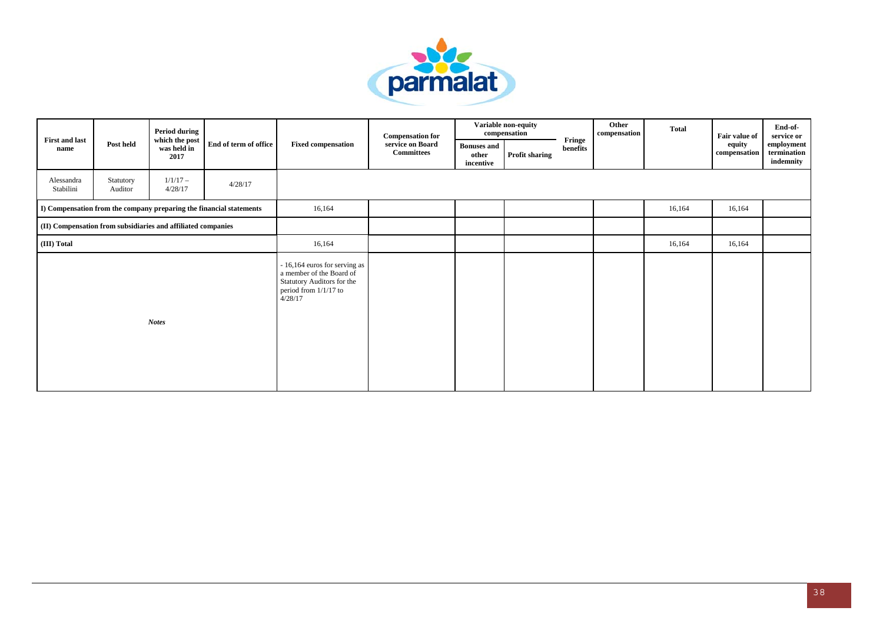

|                                                              |                      | <b>Period during</b>                                                     |                                                                     |                                                                                                                             | <b>Compensation for</b>               |                                          | Variable non-equity<br>compensation |                    | Other<br>compensation | <b>Total</b> | Fair value of          | End-of-<br>service or                  |
|--------------------------------------------------------------|----------------------|--------------------------------------------------------------------------|---------------------------------------------------------------------|-----------------------------------------------------------------------------------------------------------------------------|---------------------------------------|------------------------------------------|-------------------------------------|--------------------|-----------------------|--------------|------------------------|----------------------------------------|
| <b>First and last</b><br>name                                | Post held            | which the post $% \left\vert \cdot \right\rangle$<br>was held in<br>2017 | End of term of office                                               | <b>Fixed compensation</b>                                                                                                   | service on Board<br><b>Committees</b> | <b>Bonuses</b> and<br>other<br>incentive | <b>Profit sharing</b>               | Fringe<br>benefits |                       |              | equity<br>compensation | employment<br>termination<br>indemnity |
| Alessandra<br>Stabilini                                      | Statutory<br>Auditor | $1/1/17-$<br>4/28/17                                                     | 4/28/17                                                             |                                                                                                                             |                                       |                                          |                                     |                    |                       |              |                        |                                        |
|                                                              |                      |                                                                          | I) Compensation from the company preparing the financial statements | 16,164                                                                                                                      |                                       |                                          |                                     |                    |                       | 16,164       | 16,164                 |                                        |
| (II) Compensation from subsidiaries and affiliated companies |                      |                                                                          |                                                                     |                                                                                                                             |                                       |                                          |                                     |                    |                       |              |                        |                                        |
| (III) Total                                                  |                      |                                                                          |                                                                     | 16,164                                                                                                                      |                                       |                                          |                                     |                    |                       | 16,164       | 16,164                 |                                        |
|                                                              |                      | <b>Notes</b>                                                             |                                                                     | - 16,164 euros for serving as<br>a member of the Board of<br>Statutory Auditors for the<br>period from 1/1/17 to<br>4/28/17 |                                       |                                          |                                     |                    |                       |              |                        |                                        |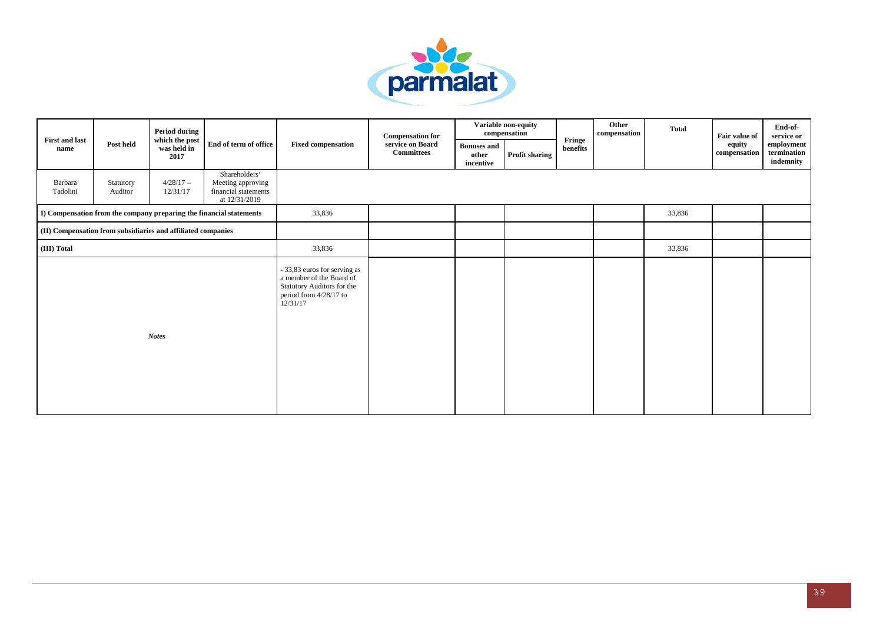

|                               |                      | <b>Period during</b>                                         |                                                                             |                                                                                                                              | <b>Compensation for</b>               |                                          | Variable non-equity<br>compensation |                    | Other<br>compensation | <b>Total</b> | Fair value of          | End-of-<br>service or                  |
|-------------------------------|----------------------|--------------------------------------------------------------|-----------------------------------------------------------------------------|------------------------------------------------------------------------------------------------------------------------------|---------------------------------------|------------------------------------------|-------------------------------------|--------------------|-----------------------|--------------|------------------------|----------------------------------------|
| <b>First and last</b><br>name | Post held            | which the post<br>was held in<br>2017                        | End of term of office                                                       | <b>Fixed compensation</b>                                                                                                    | service on Board<br><b>Committees</b> | <b>Bonuses</b> and<br>other<br>incentive | <b>Profit sharing</b>               | Fringe<br>benefits |                       |              | equity<br>compensation | employment<br>termination<br>indemnity |
| Barbara<br>Tadolini           | Statutory<br>Auditor | $4/28/17 -$<br>12/31/17                                      | Shareholders'<br>Meeting approving<br>financial statements<br>at 12/31/2019 |                                                                                                                              |                                       |                                          |                                     |                    |                       |              |                        |                                        |
|                               |                      |                                                              | I) Compensation from the company preparing the financial statements         | 33,836                                                                                                                       |                                       |                                          |                                     |                    |                       | 33,836       |                        |                                        |
|                               |                      | (II) Compensation from subsidiaries and affiliated companies |                                                                             |                                                                                                                              |                                       |                                          |                                     |                    |                       |              |                        |                                        |
| (III) Total                   |                      |                                                              |                                                                             | 33,836                                                                                                                       |                                       |                                          |                                     |                    |                       | 33,836       |                        |                                        |
|                               |                      | <b>Notes</b>                                                 |                                                                             | - 33,83 euros for serving as<br>a member of the Board of<br>Statutory Auditors for the<br>period from 4/28/17 to<br>12/31/17 |                                       |                                          |                                     |                    |                       |              |                        |                                        |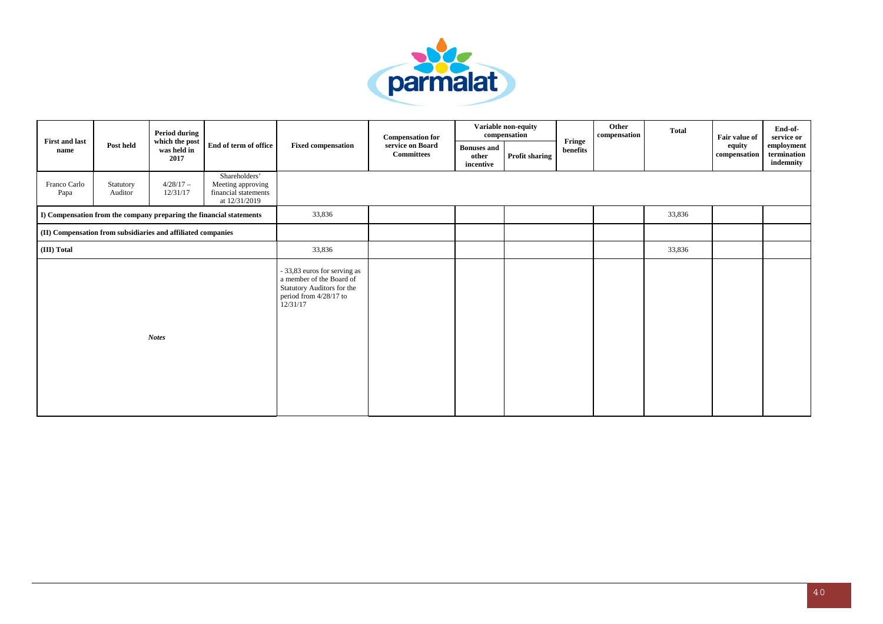

| <b>First and last</b> |                      | <b>Period during</b>                                         |                                                                             |                                                                                                                              | <b>Compensation for</b>               |                                          | Variable non-equity<br>compensation | Fringe   | Other<br>compensation | <b>Total</b> | Fair value of          | End-of-<br>service or                  |
|-----------------------|----------------------|--------------------------------------------------------------|-----------------------------------------------------------------------------|------------------------------------------------------------------------------------------------------------------------------|---------------------------------------|------------------------------------------|-------------------------------------|----------|-----------------------|--------------|------------------------|----------------------------------------|
| name                  | Post held            | which the post<br>was held in<br>2017                        | End of term of office                                                       | <b>Fixed compensation</b>                                                                                                    | service on Board<br><b>Committees</b> | <b>Bonuses</b> and<br>other<br>incentive | <b>Profit sharing</b>               | benefits |                       |              | equity<br>compensation | employment<br>termination<br>indemnity |
| Franco Carlo<br>Papa  | Statutory<br>Auditor | $4/28/17-$<br>12/31/17                                       | Shareholders'<br>Meeting approving<br>financial statements<br>at 12/31/2019 |                                                                                                                              |                                       |                                          |                                     |          |                       |              |                        |                                        |
|                       |                      |                                                              | I) Compensation from the company preparing the financial statements         | 33,836                                                                                                                       |                                       |                                          |                                     |          |                       | 33,836       |                        |                                        |
|                       |                      | (II) Compensation from subsidiaries and affiliated companies |                                                                             |                                                                                                                              |                                       |                                          |                                     |          |                       |              |                        |                                        |
| (III) Total           |                      |                                                              |                                                                             | 33,836                                                                                                                       |                                       |                                          |                                     |          |                       | 33,836       |                        |                                        |
|                       |                      | <b>Notes</b>                                                 |                                                                             | - 33,83 euros for serving as<br>a member of the Board of<br>Statutory Auditors for the<br>period from 4/28/17 to<br>12/31/17 |                                       |                                          |                                     |          |                       |              |                        |                                        |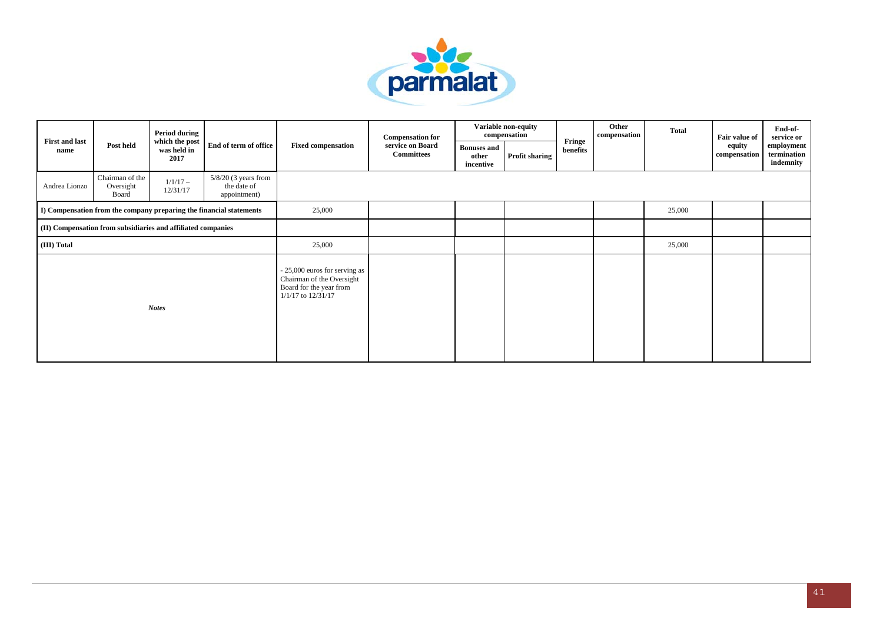

|                               |                                                                                                                                     | Period during                         |                                                                                                             |                           | <b>Compensation for</b>               |                                          | Variable non-equity<br>compensation |                    | Other<br>compensation | <b>Total</b> | Fair value of          | End-of-<br>service or                  |
|-------------------------------|-------------------------------------------------------------------------------------------------------------------------------------|---------------------------------------|-------------------------------------------------------------------------------------------------------------|---------------------------|---------------------------------------|------------------------------------------|-------------------------------------|--------------------|-----------------------|--------------|------------------------|----------------------------------------|
| <b>First and last</b><br>name | Post held                                                                                                                           | which the post<br>was held in<br>2017 | End of term of office                                                                                       | <b>Fixed compensation</b> | service on Board<br><b>Committees</b> | <b>Bonuses and</b><br>other<br>incentive | Profit sharing                      | Fringe<br>benefits |                       |              | equity<br>compensation | employment<br>termination<br>indemnity |
| Andrea Lionzo                 | Chairman of the<br>Oversight<br>Board                                                                                               | $1/1/17 -$<br>12/31/17                | $5/8/20$ (3 years from<br>the date of<br>appointment)                                                       |                           |                                       |                                          |                                     |                    |                       |              |                        |                                        |
|                               | I) Compensation from the company preparing the financial statements<br>(II) Compensation from subsidiaries and affiliated companies |                                       |                                                                                                             | 25,000                    |                                       |                                          |                                     |                    |                       | 25,000       |                        |                                        |
|                               |                                                                                                                                     |                                       |                                                                                                             |                           |                                       |                                          |                                     |                    |                       |              |                        |                                        |
| (III) Total                   |                                                                                                                                     |                                       |                                                                                                             | 25,000                    |                                       |                                          |                                     |                    |                       | 25,000       |                        |                                        |
| <b>Notes</b>                  |                                                                                                                                     |                                       | - 25,000 euros for serving as<br>Chairman of the Oversight<br>Board for the year from<br>1/1/17 to 12/31/17 |                           |                                       |                                          |                                     |                    |                       |              |                        |                                        |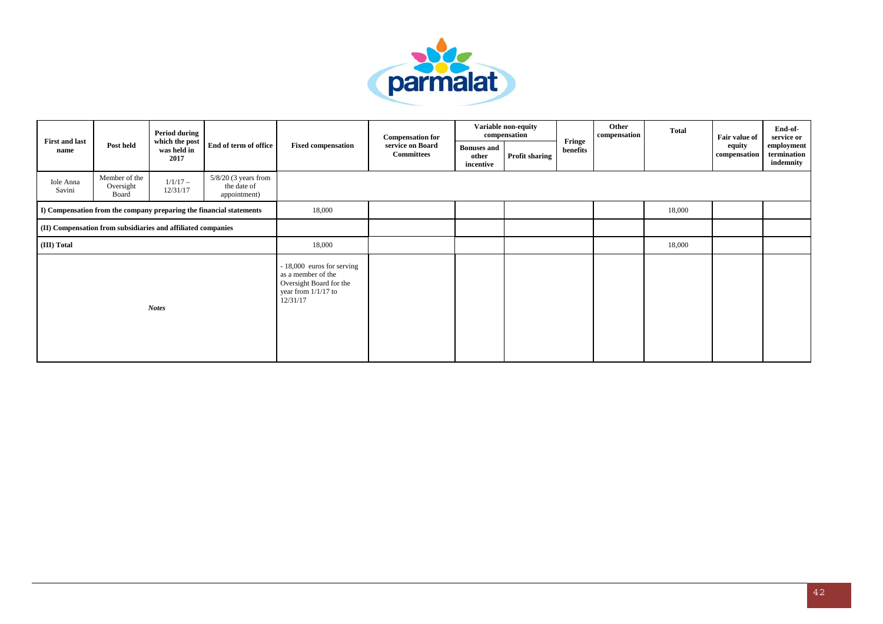

|                               |                                                                                                                                     | <b>Period during</b>                  |                                                                                                                  |                           | <b>Compensation for</b>               |                                          | Variable non-equity<br>compensation |                    | Other<br>compensation | <b>Total</b> | Fair value of          | End-of-<br>service or                  |
|-------------------------------|-------------------------------------------------------------------------------------------------------------------------------------|---------------------------------------|------------------------------------------------------------------------------------------------------------------|---------------------------|---------------------------------------|------------------------------------------|-------------------------------------|--------------------|-----------------------|--------------|------------------------|----------------------------------------|
| <b>First and last</b><br>name | Post held                                                                                                                           | which the post<br>was held in<br>2017 | End of term of office                                                                                            | <b>Fixed compensation</b> | service on Board<br><b>Committees</b> | <b>Bonuses</b> and<br>other<br>incentive | <b>Profit sharing</b>               | Fringe<br>benefits |                       |              | equity<br>compensation | employment<br>termination<br>indemnity |
| Iole Anna<br>Savini           | Member of the<br>Oversight<br>Board                                                                                                 | $1/1/17 -$<br>12/31/17                | $5/8/20$ (3 years from<br>the date of<br>appointment)                                                            |                           |                                       |                                          |                                     |                    |                       |              |                        |                                        |
|                               | I) Compensation from the company preparing the financial statements<br>(II) Compensation from subsidiaries and affiliated companies |                                       |                                                                                                                  | 18,000                    |                                       |                                          |                                     |                    |                       | 18,000       |                        |                                        |
|                               |                                                                                                                                     |                                       |                                                                                                                  |                           |                                       |                                          |                                     |                    |                       |              |                        |                                        |
| (III) Total                   |                                                                                                                                     |                                       |                                                                                                                  | 18,000                    |                                       |                                          |                                     |                    |                       | 18,000       |                        |                                        |
| <b>Notes</b>                  |                                                                                                                                     |                                       | - 18,000 euros for serving<br>as a member of the<br>Oversight Board for the<br>year from $1/1/17$ to<br>12/31/17 |                           |                                       |                                          |                                     |                    |                       |              |                        |                                        |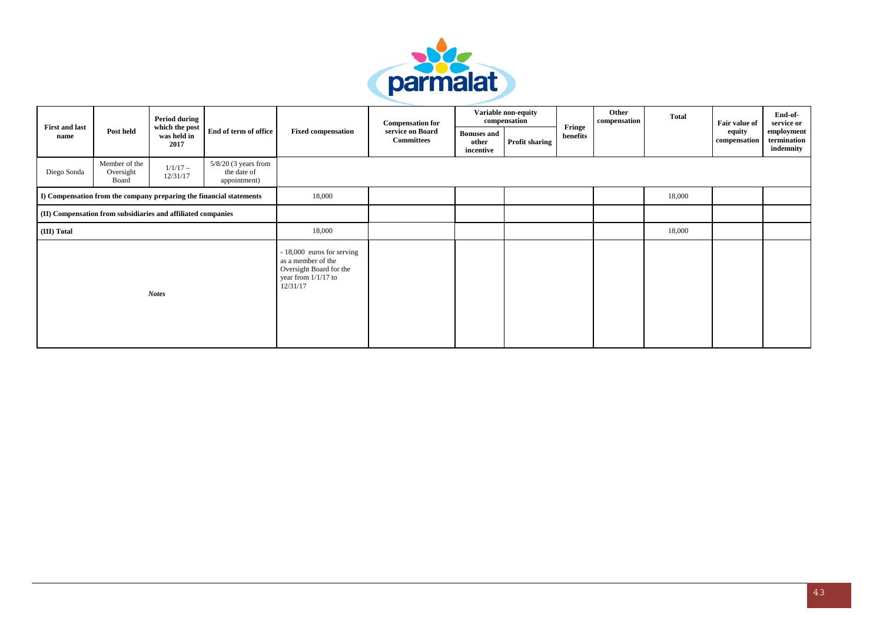

| <b>First and last</b><br>name |                                                                                                                                     | Period during                         |                                                                                                                  |                           | <b>Compensation for</b>               |                                          | Variable non-equity<br>compensation |                    | Other<br>compensation | <b>Total</b> | Fair value of          | End-of-<br>service or                  |
|-------------------------------|-------------------------------------------------------------------------------------------------------------------------------------|---------------------------------------|------------------------------------------------------------------------------------------------------------------|---------------------------|---------------------------------------|------------------------------------------|-------------------------------------|--------------------|-----------------------|--------------|------------------------|----------------------------------------|
|                               | Post held                                                                                                                           | which the post<br>was held in<br>2017 | End of term of office                                                                                            | <b>Fixed compensation</b> | service on Board<br><b>Committees</b> | <b>Bonuses and</b><br>other<br>incentive | <b>Profit sharing</b>               | Fringe<br>benefits |                       |              | equity<br>compensation | employment<br>termination<br>indemnity |
| Diego Sonda                   | Member of the<br>Oversight<br>Board                                                                                                 | $1/1/17 -$<br>12/31/17                | $5/8/20$ (3 years from<br>the date of<br>appointment)                                                            |                           |                                       |                                          |                                     |                    |                       |              |                        |                                        |
|                               | I) Compensation from the company preparing the financial statements<br>(II) Compensation from subsidiaries and affiliated companies |                                       |                                                                                                                  | 18,000                    |                                       |                                          |                                     |                    |                       | 18,000       |                        |                                        |
|                               |                                                                                                                                     |                                       |                                                                                                                  |                           |                                       |                                          |                                     |                    |                       |              |                        |                                        |
| (III) Total                   |                                                                                                                                     |                                       |                                                                                                                  | 18,000                    |                                       |                                          |                                     |                    |                       | 18,000       |                        |                                        |
| <b>Notes</b>                  |                                                                                                                                     |                                       | - 18,000 euros for serving<br>as a member of the<br>Oversight Board for the<br>year from $1/1/17$ to<br>12/31/17 |                           |                                       |                                          |                                     |                    |                       |              |                        |                                        |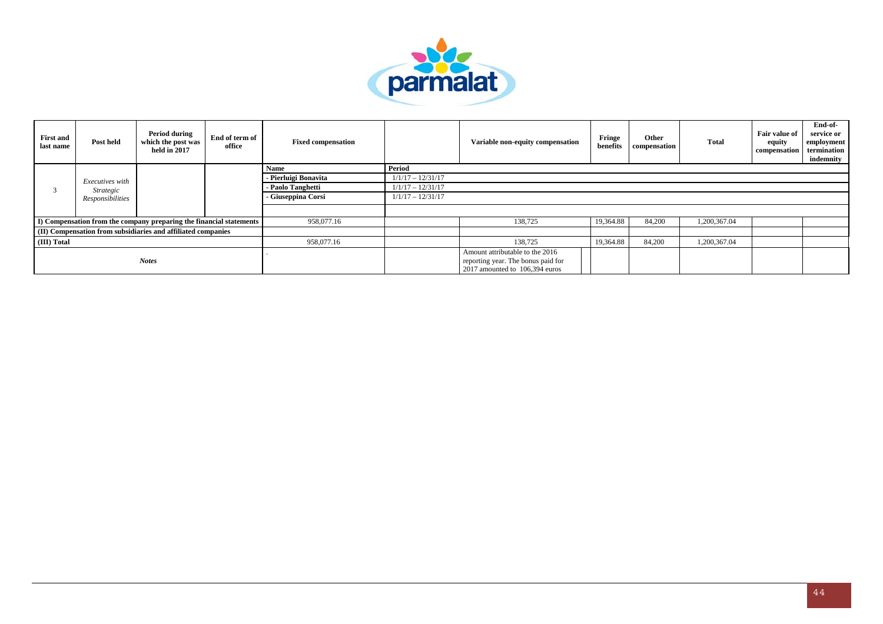

| <b>First and</b><br>last name | Post held        | <b>Period during</b><br>which the post was<br>held in 2017          | End of term of<br>office | <b>Fixed compensation</b> |                                                                                                         | Variable non-equity compensation | Fringe<br>benefits | Other<br>compensation | Total        | <b>Fair value of</b><br>equity<br>compensation | End-of-<br>service or<br>employment<br>termination<br>indemnity |
|-------------------------------|------------------|---------------------------------------------------------------------|--------------------------|---------------------------|---------------------------------------------------------------------------------------------------------|----------------------------------|--------------------|-----------------------|--------------|------------------------------------------------|-----------------------------------------------------------------|
|                               |                  |                                                                     |                          | Name                      | Period                                                                                                  |                                  |                    |                       |              |                                                |                                                                 |
|                               | Executives with  |                                                                     |                          | - Pierluigi Bonavita      | $1/1/17 - 12/31/17$                                                                                     |                                  |                    |                       |              |                                                |                                                                 |
|                               | Strategic        |                                                                     |                          | - Paolo Tanghetti         | $1/1/17 - 12/31/17$                                                                                     |                                  |                    |                       |              |                                                |                                                                 |
|                               | Responsibilities |                                                                     |                          | - Giuseppina Corsi        | $1/1/17 - 12/31/17$                                                                                     |                                  |                    |                       |              |                                                |                                                                 |
|                               |                  |                                                                     |                          |                           |                                                                                                         |                                  |                    |                       |              |                                                |                                                                 |
|                               |                  | I) Compensation from the company preparing the financial statements |                          | 958,077.16                |                                                                                                         | 138,725                          | 19,364.88          | 84,200                | 1,200,367.04 |                                                |                                                                 |
|                               |                  | (II) Compensation from subsidiaries and affiliated companies        |                          |                           |                                                                                                         |                                  |                    |                       |              |                                                |                                                                 |
| (III) Total                   |                  |                                                                     |                          | 958,077.16                |                                                                                                         | 138,725                          | 19,364.88          | 84,200                | 1,200,367.04 |                                                |                                                                 |
|                               | <b>Notes</b>     |                                                                     |                          |                           | Amount attributable to the 2016<br>reporting year. The bonus paid for<br>2017 amounted to 106,394 euros |                                  |                    |                       |              |                                                |                                                                 |